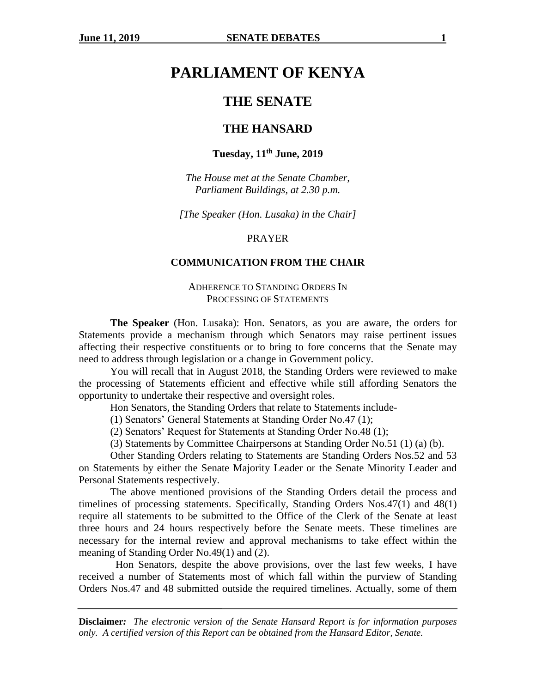# **PARLIAMENT OF KENYA**

# **THE SENATE**

### **THE HANSARD**

### **Tuesday, 11th June, 2019**

*The House met at the Senate Chamber, Parliament Buildings, at 2.30 p.m.*

*[The Speaker (Hon. Lusaka) in the Chair]*

#### PRAYER

### **COMMUNICATION FROM THE CHAIR**

### ADHERENCE TO STANDING ORDERS IN PROCESSING OF STATEMENTS

**The Speaker** (Hon. Lusaka): Hon. Senators, as you are aware, the orders for Statements provide a mechanism through which Senators may raise pertinent issues affecting their respective constituents or to bring to fore concerns that the Senate may need to address through legislation or a change in Government policy.

You will recall that in August 2018, the Standing Orders were reviewed to make the processing of Statements efficient and effective while still affording Senators the opportunity to undertake their respective and oversight roles.

Hon Senators, the Standing Orders that relate to Statements include-

(1) Senators' General Statements at Standing Order No.47 (1);

(2) Senators' Request for Statements at Standing Order No.48 (1);

(3) Statements by Committee Chairpersons at Standing Order No.51 (1) (a) (b).

Other Standing Orders relating to Statements are Standing Orders Nos.52 and 53 on Statements by either the Senate Majority Leader or the Senate Minority Leader and Personal Statements respectively.

The above mentioned provisions of the Standing Orders detail the process and timelines of processing statements. Specifically, Standing Orders Nos.47(1) and 48(1) require all statements to be submitted to the Office of the Clerk of the Senate at least three hours and 24 hours respectively before the Senate meets. These timelines are necessary for the internal review and approval mechanisms to take effect within the meaning of Standing Order No.49(1) and (2).

 Hon Senators, despite the above provisions, over the last few weeks, I have received a number of Statements most of which fall within the purview of Standing Orders Nos.47 and 48 submitted outside the required timelines. Actually, some of them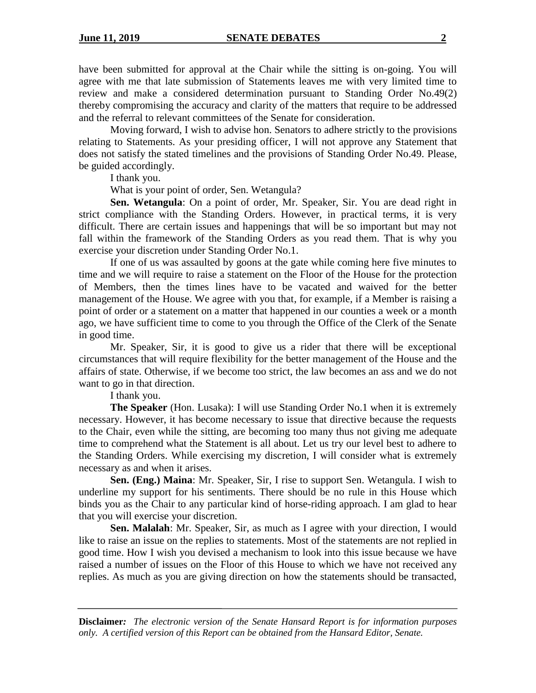have been submitted for approval at the Chair while the sitting is on-going. You will agree with me that late submission of Statements leaves me with very limited time to review and make a considered determination pursuant to Standing Order No.49(2) thereby compromising the accuracy and clarity of the matters that require to be addressed and the referral to relevant committees of the Senate for consideration.

Moving forward, I wish to advise hon. Senators to adhere strictly to the provisions relating to Statements. As your presiding officer, I will not approve any Statement that does not satisfy the stated timelines and the provisions of Standing Order No.49. Please, be guided accordingly.

I thank you.

What is your point of order, Sen. Wetangula?

**Sen. Wetangula**: On a point of order, Mr. Speaker, Sir. You are dead right in strict compliance with the Standing Orders. However, in practical terms, it is very difficult. There are certain issues and happenings that will be so important but may not fall within the framework of the Standing Orders as you read them. That is why you exercise your discretion under Standing Order No.1.

If one of us was assaulted by goons at the gate while coming here five minutes to time and we will require to raise a statement on the Floor of the House for the protection of Members, then the times lines have to be vacated and waived for the better management of the House. We agree with you that, for example, if a Member is raising a point of order or a statement on a matter that happened in our counties a week or a month ago, we have sufficient time to come to you through the Office of the Clerk of the Senate in good time.

Mr. Speaker, Sir, it is good to give us a rider that there will be exceptional circumstances that will require flexibility for the better management of the House and the affairs of state. Otherwise, if we become too strict, the law becomes an ass and we do not want to go in that direction.

I thank you.

**The Speaker** (Hon. Lusaka): I will use Standing Order No.1 when it is extremely necessary. However, it has become necessary to issue that directive because the requests to the Chair, even while the sitting, are becoming too many thus not giving me adequate time to comprehend what the Statement is all about. Let us try our level best to adhere to the Standing Orders. While exercising my discretion, I will consider what is extremely necessary as and when it arises.

**Sen. (Eng.) Maina**: Mr. Speaker, Sir, I rise to support Sen. Wetangula. I wish to underline my support for his sentiments. There should be no rule in this House which binds you as the Chair to any particular kind of horse-riding approach. I am glad to hear that you will exercise your discretion.

**Sen. Malalah**: Mr. Speaker, Sir, as much as I agree with your direction, I would like to raise an issue on the replies to statements. Most of the statements are not replied in good time. How I wish you devised a mechanism to look into this issue because we have raised a number of issues on the Floor of this House to which we have not received any replies. As much as you are giving direction on how the statements should be transacted,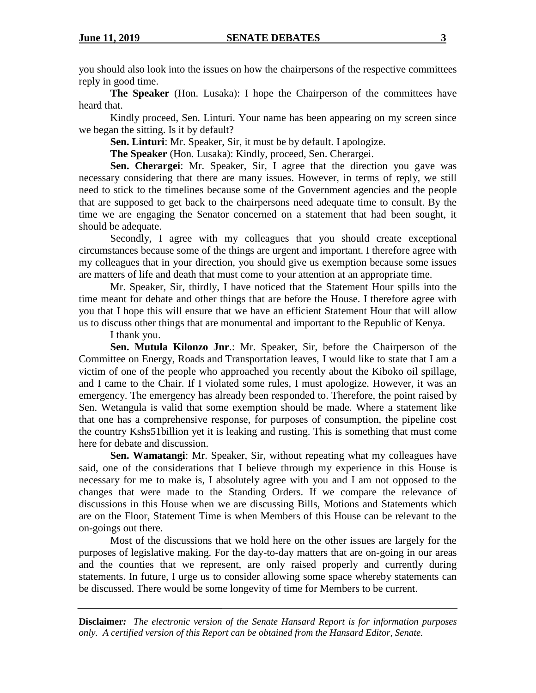you should also look into the issues on how the chairpersons of the respective committees reply in good time.

**The Speaker** (Hon. Lusaka): I hope the Chairperson of the committees have heard that.

Kindly proceed, Sen. Linturi. Your name has been appearing on my screen since we began the sitting. Is it by default?

**Sen. Linturi**: Mr. Speaker, Sir, it must be by default. I apologize.

**The Speaker** (Hon. Lusaka): Kindly, proceed, Sen. Cherargei.

**Sen. Cherargei**: Mr. Speaker, Sir, I agree that the direction you gave was necessary considering that there are many issues. However, in terms of reply, we still need to stick to the timelines because some of the Government agencies and the people that are supposed to get back to the chairpersons need adequate time to consult. By the time we are engaging the Senator concerned on a statement that had been sought, it should be adequate.

Secondly, I agree with my colleagues that you should create exceptional circumstances because some of the things are urgent and important. I therefore agree with my colleagues that in your direction, you should give us exemption because some issues are matters of life and death that must come to your attention at an appropriate time.

Mr. Speaker, Sir, thirdly, I have noticed that the Statement Hour spills into the time meant for debate and other things that are before the House. I therefore agree with you that I hope this will ensure that we have an efficient Statement Hour that will allow us to discuss other things that are monumental and important to the Republic of Kenya.

I thank you.

**Sen. Mutula Kilonzo Jnr**.: Mr. Speaker, Sir, before the Chairperson of the Committee on Energy, Roads and Transportation leaves, I would like to state that I am a victim of one of the people who approached you recently about the Kiboko oil spillage, and I came to the Chair. If I violated some rules, I must apologize. However, it was an emergency. The emergency has already been responded to. Therefore, the point raised by Sen. Wetangula is valid that some exemption should be made. Where a statement like that one has a comprehensive response, for purposes of consumption, the pipeline cost the country Kshs51billion yet it is leaking and rusting. This is something that must come here for debate and discussion.

**Sen. Wamatangi**: Mr. Speaker, Sir, without repeating what my colleagues have said, one of the considerations that I believe through my experience in this House is necessary for me to make is, I absolutely agree with you and I am not opposed to the changes that were made to the Standing Orders. If we compare the relevance of discussions in this House when we are discussing Bills, Motions and Statements which are on the Floor, Statement Time is when Members of this House can be relevant to the on-goings out there.

Most of the discussions that we hold here on the other issues are largely for the purposes of legislative making. For the day-to-day matters that are on-going in our areas and the counties that we represent, are only raised properly and currently during statements. In future, I urge us to consider allowing some space whereby statements can be discussed. There would be some longevity of time for Members to be current.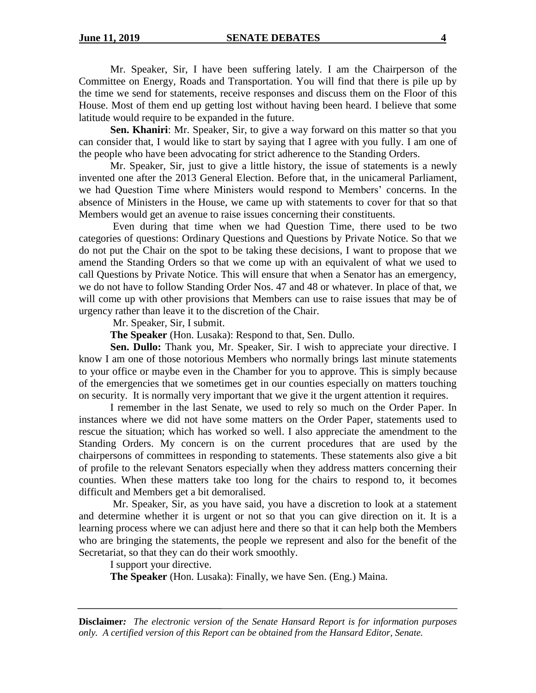Mr. Speaker, Sir, I have been suffering lately. I am the Chairperson of the Committee on Energy, Roads and Transportation. You will find that there is pile up by the time we send for statements, receive responses and discuss them on the Floor of this House. Most of them end up getting lost without having been heard. I believe that some latitude would require to be expanded in the future.

**Sen. Khaniri**: Mr. Speaker, Sir, to give a way forward on this matter so that you can consider that, I would like to start by saying that I agree with you fully. I am one of the people who have been advocating for strict adherence to the Standing Orders.

Mr. Speaker, Sir, just to give a little history, the issue of statements is a newly invented one after the 2013 General Election. Before that, in the unicameral Parliament, we had Question Time where Ministers would respond to Members' concerns. In the absence of Ministers in the House, we came up with statements to cover for that so that Members would get an avenue to raise issues concerning their constituents.

Even during that time when we had Question Time, there used to be two categories of questions: Ordinary Questions and Questions by Private Notice. So that we do not put the Chair on the spot to be taking these decisions, I want to propose that we amend the Standing Orders so that we come up with an equivalent of what we used to call Questions by Private Notice. This will ensure that when a Senator has an emergency, we do not have to follow Standing Order Nos. 47 and 48 or whatever. In place of that, we will come up with other provisions that Members can use to raise issues that may be of urgency rather than leave it to the discretion of the Chair.

Mr. Speaker, Sir, I submit.

**The Speaker** (Hon. Lusaka): Respond to that, Sen. Dullo.

**Sen. Dullo:** Thank you, Mr. Speaker, Sir. I wish to appreciate your directive. I know I am one of those notorious Members who normally brings last minute statements to your office or maybe even in the Chamber for you to approve. This is simply because of the emergencies that we sometimes get in our counties especially on matters touching on security. It is normally very important that we give it the urgent attention it requires.

I remember in the last Senate, we used to rely so much on the Order Paper. In instances where we did not have some matters on the Order Paper, statements used to rescue the situation; which has worked so well. I also appreciate the amendment to the Standing Orders. My concern is on the current procedures that are used by the chairpersons of committees in responding to statements. These statements also give a bit of profile to the relevant Senators especially when they address matters concerning their counties. When these matters take too long for the chairs to respond to, it becomes difficult and Members get a bit demoralised.

Mr. Speaker, Sir, as you have said, you have a discretion to look at a statement and determine whether it is urgent or not so that you can give direction on it. It is a learning process where we can adjust here and there so that it can help both the Members who are bringing the statements, the people we represent and also for the benefit of the Secretariat, so that they can do their work smoothly.

I support your directive.

**The Speaker** (Hon. Lusaka): Finally, we have Sen. (Eng.) Maina.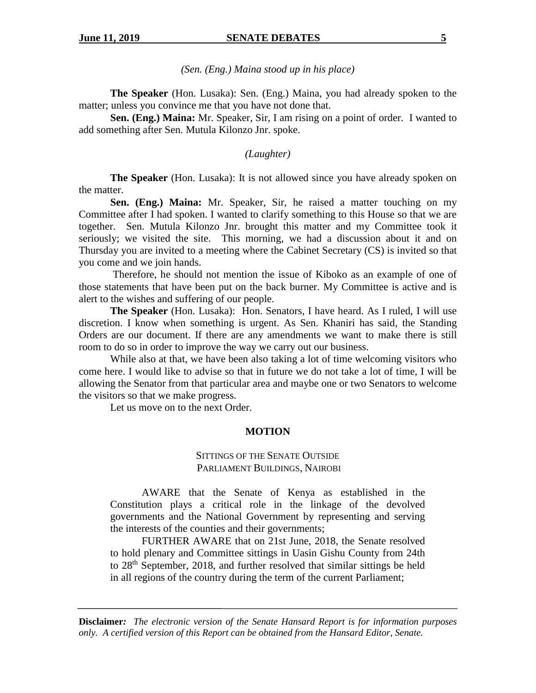### *(Sen. (Eng.) Maina stood up in his place)*

**The Speaker** (Hon. Lusaka): Sen. (Eng.) Maina, you had already spoken to the matter; unless you convince me that you have not done that.

**Sen. (Eng.) Maina:** Mr. Speaker, Sir, I am rising on a point of order. I wanted to add something after Sen. Mutula Kilonzo Jnr. spoke.

### *(Laughter)*

**The Speaker** (Hon. Lusaka): It is not allowed since you have already spoken on the matter.

**Sen. (Eng.) Maina:** Mr. Speaker, Sir, he raised a matter touching on my Committee after I had spoken. I wanted to clarify something to this House so that we are together. Sen. Mutula Kilonzo Jnr. brought this matter and my Committee took it seriously; we visited the site. This morning, we had a discussion about it and on Thursday you are invited to a meeting where the Cabinet Secretary (CS) is invited so that you come and we join hands.

Therefore, he should not mention the issue of Kiboko as an example of one of those statements that have been put on the back burner. My Committee is active and is alert to the wishes and suffering of our people.

**The Speaker** (Hon. Lusaka): Hon. Senators, I have heard. As I ruled, I will use discretion. I know when something is urgent. As Sen. Khaniri has said, the Standing Orders are our document. If there are any amendments we want to make there is still room to do so in order to improve the way we carry out our business.

While also at that, we have been also taking a lot of time welcoming visitors who come here. I would like to advise so that in future we do not take a lot of time, I will be allowing the Senator from that particular area and maybe one or two Senators to welcome the visitors so that we make progress.

Let us move on to the next Order.

#### **MOTION**

### SITTINGS OF THE SENATE OUTSIDE PARLIAMENT BUILDINGS, NAIROBI

AWARE that the Senate of Kenya as established in the Constitution plays a critical role in the linkage of the devolved governments and the National Government by representing and serving the interests of the counties and their governments;

FURTHER AWARE that on 21st June, 2018, the Senate resolved to hold plenary and Committee sittings in Uasin Gishu County from 24th to 28th September, 2018, and further resolved that similar sittings be held in all regions of the country during the term of the current Parliament;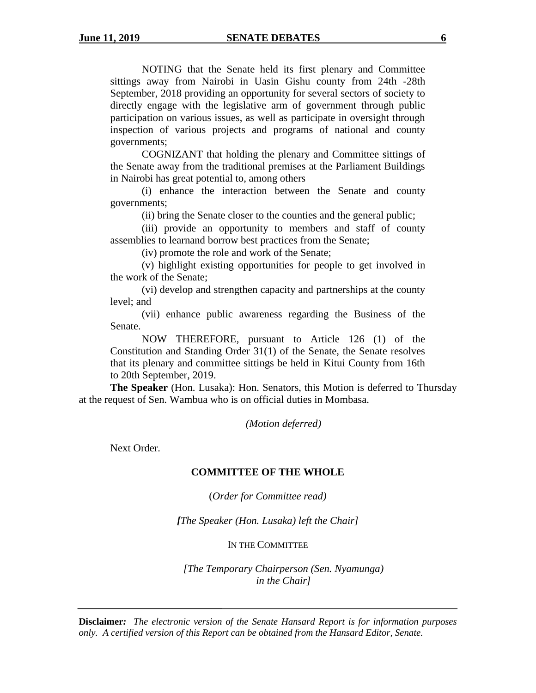NOTING that the Senate held its first plenary and Committee sittings away from Nairobi in Uasin Gishu county from 24th -28th September, 2018 providing an opportunity for several sectors of society to directly engage with the legislative arm of government through public participation on various issues, as well as participate in oversight through inspection of various projects and programs of national and county governments;

COGNIZANT that holding the plenary and Committee sittings of the Senate away from the traditional premises at the Parliament Buildings in Nairobi has great potential to, among others–

(i) enhance the interaction between the Senate and county governments;

(ii) bring the Senate closer to the counties and the general public;

(iii) provide an opportunity to members and staff of county assemblies to learnand borrow best practices from the Senate;

(iv) promote the role and work of the Senate;

(v) highlight existing opportunities for people to get involved in the work of the Senate;

(vi) develop and strengthen capacity and partnerships at the county level; and

(vii) enhance public awareness regarding the Business of the Senate.

NOW THEREFORE, pursuant to Article 126 (1) of the Constitution and Standing Order 31(1) of the Senate, the Senate resolves that its plenary and committee sittings be held in Kitui County from 16th to 20th September, 2019.

**The Speaker** (Hon. Lusaka): Hon. Senators, this Motion is deferred to Thursday at the request of Sen. Wambua who is on official duties in Mombasa.

*(Motion deferred)*

Next Order.

### **COMMITTEE OF THE WHOLE**

(*Order for Committee read)*

*[The Speaker (Hon. Lusaka) left the Chair]*

IN THE COMMITTEE

*[The Temporary Chairperson (Sen. Nyamunga) in the Chair]*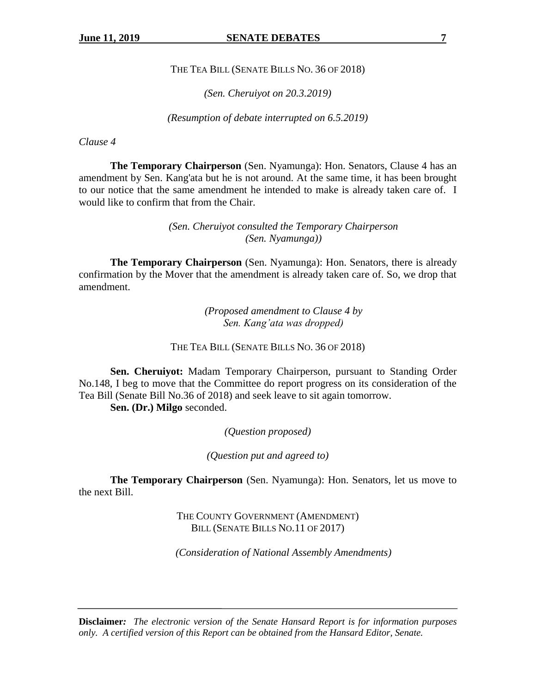THE TEA BILL (SENATE BILLS NO. 36 OF 2018)

*(Sen. Cheruiyot on 20.3.2019)*

*(Resumption of debate interrupted on 6.5.2019)*

*Clause 4*

**The Temporary Chairperson** (Sen. Nyamunga): Hon. Senators, Clause 4 has an amendment by Sen. Kang'ata but he is not around. At the same time, it has been brought to our notice that the same amendment he intended to make is already taken care of. I would like to confirm that from the Chair.

> *(Sen. Cheruiyot consulted the Temporary Chairperson (Sen. Nyamunga))*

**The Temporary Chairperson** (Sen. Nyamunga): Hon. Senators, there is already confirmation by the Mover that the amendment is already taken care of. So, we drop that amendment.

> *(Proposed amendment to Clause 4 by Sen. Kang'ata was dropped)*

THE TEA BILL (SENATE BILLS NO. 36 OF 2018)

**Sen. Cheruiyot:** Madam Temporary Chairperson, pursuant to Standing Order No.148, I beg to move that the Committee do report progress on its consideration of the Tea Bill (Senate Bill No.36 of 2018) and seek leave to sit again tomorrow.

**Sen. (Dr.) Milgo** seconded.

*(Question proposed)*

*(Question put and agreed to)*

**The Temporary Chairperson** (Sen. Nyamunga): Hon. Senators, let us move to the next Bill.

> THE COUNTY GOVERNMENT (AMENDMENT) BILL (SENATE BILLS NO.11 OF 2017)

*(Consideration of National Assembly Amendments)*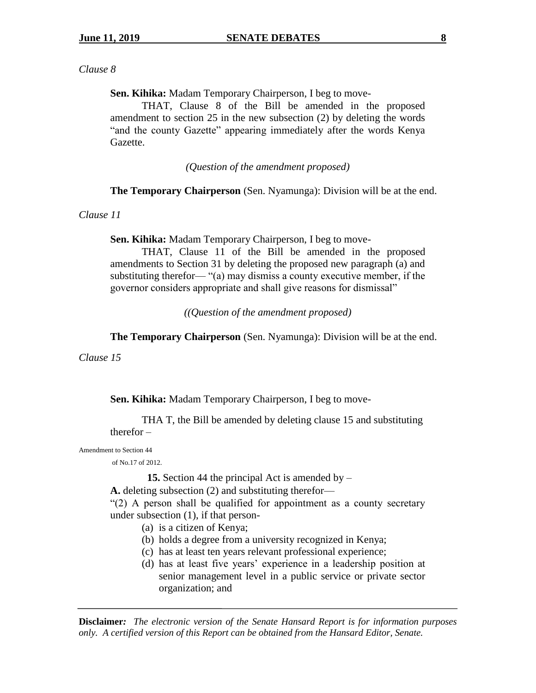### *Clause 8*

**Sen. Kihika:** Madam Temporary Chairperson, I beg to move-

THAT, Clause 8 of the Bill be amended in the proposed amendment to section 25 in the new subsection (2) by deleting the words "and the county Gazette" appearing immediately after the words Kenya Gazette.

*(Question of the amendment proposed)*

**The Temporary Chairperson** (Sen. Nyamunga): Division will be at the end.

*Clause 11*

**Sen. Kihika:** Madam Temporary Chairperson, I beg to move-

THAT, Clause 11 of the Bill be amended in the proposed amendments to Section 31 by deleting the proposed new paragraph (a) and substituting therefor— "(a) may dismiss a county executive member, if the governor considers appropriate and shall give reasons for dismissal"

*((Question of the amendment proposed)*

**The Temporary Chairperson** (Sen. Nyamunga): Division will be at the end.

*Clause 15*

**Sen. Kihika:** Madam Temporary Chairperson, I beg to move-

THA T, the Bill be amended by deleting clause 15 and substituting therefor –

Amendment to Section 44

of No.17 of 2012.

**15.** Section 44 the principal Act is amended by –

**A.** deleting subsection (2) and substituting therefor—

"(2) A person shall be qualified for appointment as a county secretary under subsection (1), if that person-

- (a) is a citizen of Kenya;
- (b) holds a degree from a university recognized in Kenya;
- (c) has at least ten years relevant professional experience;
- (d) has at least five years' experience in a leadership position at senior management level in a public service or private sector organization; and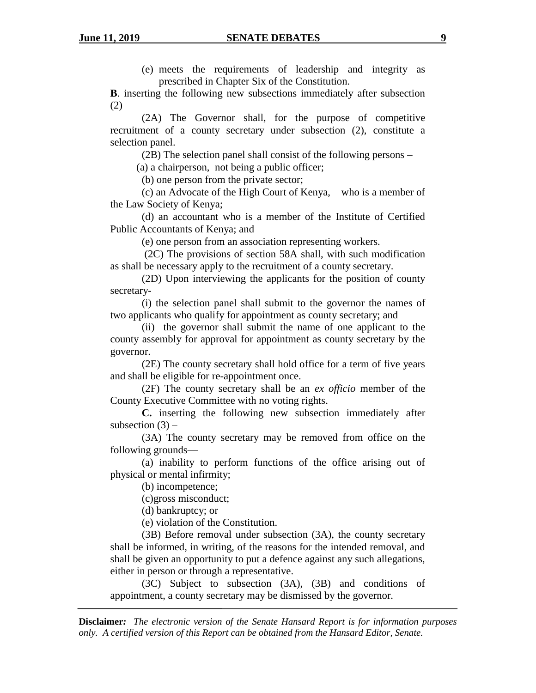(e) meets the requirements of leadership and integrity as prescribed in Chapter Six of the Constitution.

**B**. inserting the following new subsections immediately after subsection  $(2)$ –

(2A) The Governor shall, for the purpose of competitive recruitment of a county secretary under subsection (2), constitute a selection panel.

(2B) The selection panel shall consist of the following persons –

(a) a chairperson, not being a public officer;

(b) one person from the private sector;

(c) an Advocate of the High Court of Kenya, who is a member of the Law Society of Kenya;

(d) an accountant who is a member of the Institute of Certified Public Accountants of Kenya; and

(e) one person from an association representing workers.

(2C) The provisions of section 58A shall, with such modification as shall be necessary apply to the recruitment of a county secretary.

(2D) Upon interviewing the applicants for the position of county secretary-

(i) the selection panel shall submit to the governor the names of two applicants who qualify for appointment as county secretary; and

(ii) the governor shall submit the name of one applicant to the county assembly for approval for appointment as county secretary by the governor.

(2E) The county secretary shall hold office for a term of five years and shall be eligible for re-appointment once.

(2F) The county secretary shall be an *ex officio* member of the County Executive Committee with no voting rights.

**C.** inserting the following new subsection immediately after subsection  $(3)$  –

(3A) The county secretary may be removed from office on the following grounds—

(a) inability to perform functions of the office arising out of physical or mental infirmity;

(b) incompetence;

(c)gross misconduct;

(d) bankruptcy; or

(e) violation of the Constitution.

(3B) Before removal under subsection (3A), the county secretary shall be informed, in writing, of the reasons for the intended removal, and shall be given an opportunity to put a defence against any such allegations, either in person or through a representative.

(3C) Subject to subsection (3A), (3B) and conditions of appointment, a county secretary may be dismissed by the governor.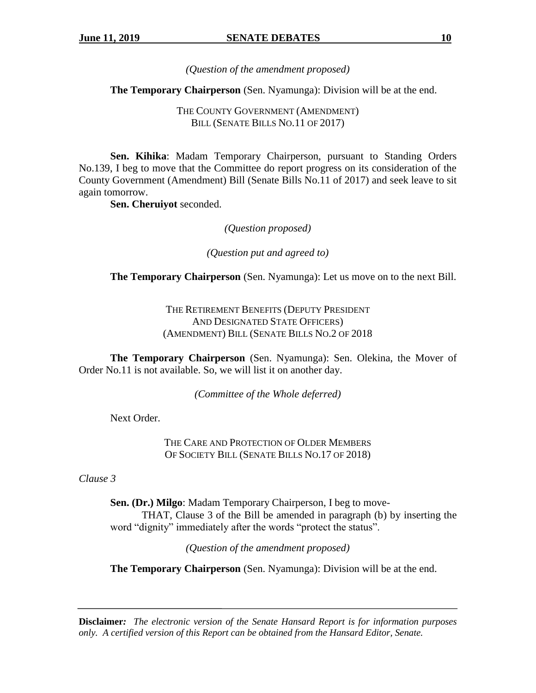*(Question of the amendment proposed)*

**The Temporary Chairperson** (Sen. Nyamunga): Division will be at the end.

THE COUNTY GOVERNMENT (AMENDMENT) BILL (SENATE BILLS NO.11 OF 2017)

**Sen. Kihika**: Madam Temporary Chairperson, pursuant to Standing Orders No.139, I beg to move that the Committee do report progress on its consideration of the County Government (Amendment) Bill (Senate Bills No.11 of 2017) and seek leave to sit again tomorrow.

**Sen. Cheruiyot** seconded.

*(Question proposed)*

*(Question put and agreed to)*

**The Temporary Chairperson** (Sen. Nyamunga): Let us move on to the next Bill.

THE RETIREMENT BENEFITS (DEPUTY PRESIDENT AND DESIGNATED STATE OFFICERS) (AMENDMENT) BILL (SENATE BILLS NO.2 OF 2018

**The Temporary Chairperson** (Sen. Nyamunga): Sen. Olekina, the Mover of Order No.11 is not available. So, we will list it on another day.

*(Committee of the Whole deferred)*

Next Order.

THE CARE AND PROTECTION OF OLDER MEMBERS OF SOCIETY BILL (SENATE BILLS NO.17 OF 2018)

*Clause 3*

**Sen. (Dr.) Milgo**: Madam Temporary Chairperson, I beg to move-THAT, Clause 3 of the Bill be amended in paragraph (b) by inserting the word "dignity" immediately after the words "protect the status".

*(Question of the amendment proposed)*

**The Temporary Chairperson** (Sen. Nyamunga): Division will be at the end.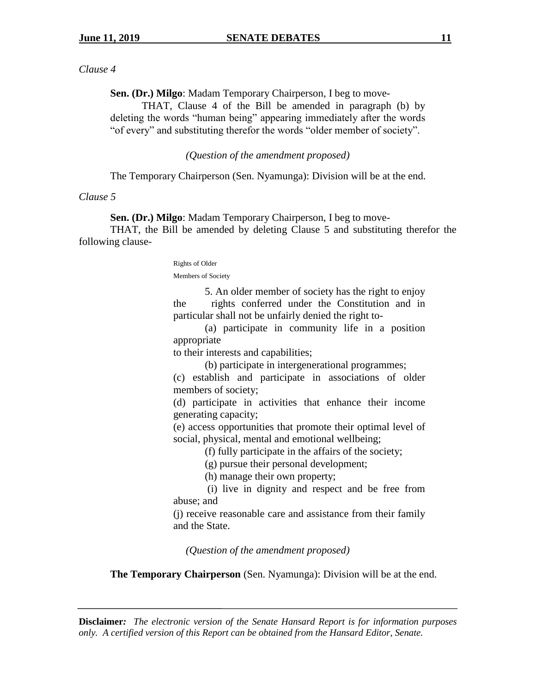### *Clause 4*

**Sen. (Dr.) Milgo**: Madam Temporary Chairperson, I beg to move-

THAT, Clause 4 of the Bill be amended in paragraph (b) by deleting the words "human being" appearing immediately after the words "of every" and substituting therefor the words "older member of society".

### *(Question of the amendment proposed)*

The Temporary Chairperson (Sen. Nyamunga): Division will be at the end.

### *Clause 5*

**Sen. (Dr.) Milgo**: Madam Temporary Chairperson, I beg to move-

THAT, the Bill be amended by deleting Clause 5 and substituting therefor the following clause-

#### Rights of Older Members of Society

5. An older member of society has the right to enjoy the rights conferred under the Constitution and in particular shall not be unfairly denied the right to-

(a) participate in community life in a position appropriate

to their interests and capabilities;

(b) participate in intergenerational programmes;

(c) establish and participate in associations of older members of society;

(d) participate in activities that enhance their income generating capacity;

(e) access opportunities that promote their optimal level of social, physical, mental and emotional wellbeing;

(f) fully participate in the affairs of the society;

(g) pursue their personal development;

(h) manage their own property;

(i) live in dignity and respect and be free from abuse; and

(j) receive reasonable care and assistance from their family and the State.

*(Question of the amendment proposed)*

**The Temporary Chairperson** (Sen. Nyamunga): Division will be at the end.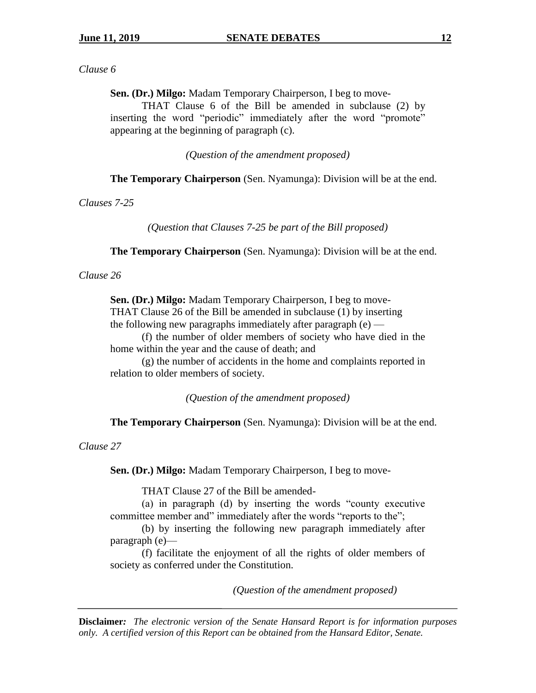### *Clause 6*

**Sen. (Dr.) Milgo:** Madam Temporary Chairperson, I beg to move-

THAT Clause 6 of the Bill be amended in subclause (2) by inserting the word "periodic" immediately after the word "promote" appearing at the beginning of paragraph (c).

*(Question of the amendment proposed)*

**The Temporary Chairperson** (Sen. Nyamunga): Division will be at the end.

*Clauses 7-25*

*(Question that Clauses 7-25 be part of the Bill proposed)*

**The Temporary Chairperson** (Sen. Nyamunga): Division will be at the end.

### *Clause 26*

**Sen. (Dr.) Milgo:** Madam Temporary Chairperson, I beg to move-THAT Clause 26 of the Bill be amended in subclause (1) by inserting the following new paragraphs immediately after paragraph  $(e)$  —

(f) the number of older members of society who have died in the home within the year and the cause of death; and

(g) the number of accidents in the home and complaints reported in relation to older members of society.

*(Question of the amendment proposed)*

**The Temporary Chairperson** (Sen. Nyamunga): Division will be at the end.

*Clause 27*

**Sen. (Dr.) Milgo:** Madam Temporary Chairperson, I beg to move-

THAT Clause 27 of the Bill be amended-

(a) in paragraph (d) by inserting the words "county executive committee member and" immediately after the words "reports to the";

(b) by inserting the following new paragraph immediately after paragraph (e)—

(f) facilitate the enjoyment of all the rights of older members of society as conferred under the Constitution.

*(Question of the amendment proposed)*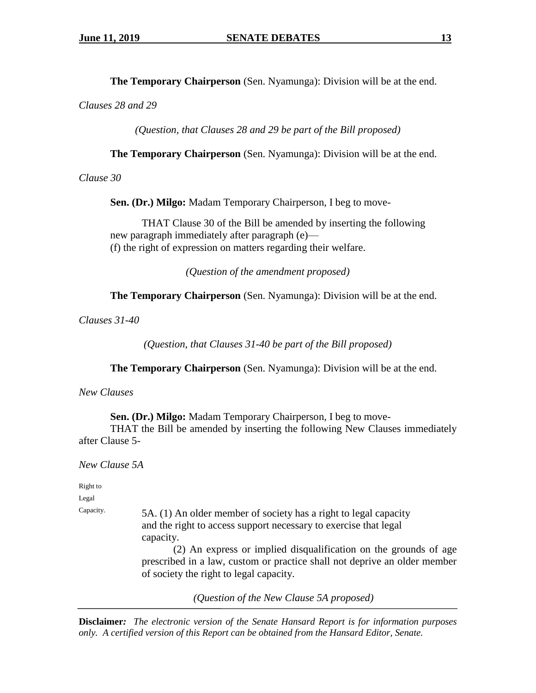**The Temporary Chairperson** (Sen. Nyamunga): Division will be at the end.

*Clauses 28 and 29*

*(Question, that Clauses 28 and 29 be part of the Bill proposed)*

**The Temporary Chairperson** (Sen. Nyamunga): Division will be at the end.

*Clause 30*

**Sen. (Dr.) Milgo:** Madam Temporary Chairperson, I beg to move-

THAT Clause 30 of the Bill be amended by inserting the following new paragraph immediately after paragraph (e)— (f) the right of expression on matters regarding their welfare.

*(Question of the amendment proposed)*

**The Temporary Chairperson** (Sen. Nyamunga): Division will be at the end.

*Clauses 31-40*

*(Question, that Clauses 31-40 be part of the Bill proposed)*

**The Temporary Chairperson** (Sen. Nyamunga): Division will be at the end.

*New Clauses* 

**Sen. (Dr.) Milgo:** Madam Temporary Chairperson, I beg to move-

THAT the Bill be amended by inserting the following New Clauses immediately after Clause 5-

*New Clause 5A*

Right to

Legal

 $Capacity.$  5A. (1) An older member of society has a right to legal capacity and the right to access support necessary to exercise that legal capacity.

> (2) An express or implied disqualification on the grounds of age prescribed in a law, custom or practice shall not deprive an older member of society the right to legal capacity.

> > *(Question of the New Clause 5A proposed)*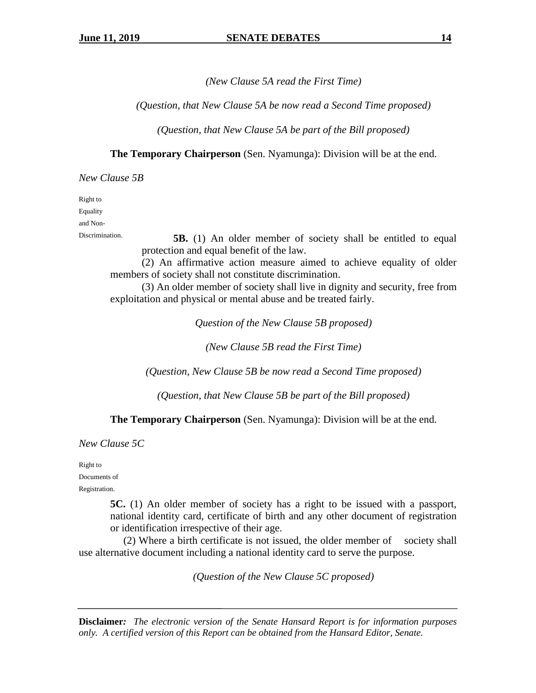*(New Clause 5A read the First Time)*

*(Question, that New Clause 5A be now read a Second Time proposed)*

*(Question, that New Clause 5A be part of the Bill proposed)*

**The Temporary Chairperson** (Sen. Nyamunga): Division will be at the end.

*New Clause 5B*

Right to Equality

and Non-

Discrimination. **5B.** (1) An older member of society shall be entitled to equal protection and equal benefit of the law.

(2) An affirmative action measure aimed to achieve equality of older members of society shall not constitute discrimination.

(3) An older member of society shall live in dignity and security, free from exploitation and physical or mental abuse and be treated fairly.

*Question of the New Clause 5B proposed)*

*(New Clause 5B read the First Time)*

*(Question, New Clause 5B be now read a Second Time proposed)*

*(Question, that New Clause 5B be part of the Bill proposed)*

**The Temporary Chairperson** (Sen. Nyamunga): Division will be at the end.

*New Clause 5C*

Right to Documents of Registration.

> **5C.** (1) An older member of society has a right to be issued with a passport, national identity card, certificate of birth and any other document of registration or identification irrespective of their age.

 (2) Where a birth certificate is not issued, the older member of society shall use alternative document including a national identity card to serve the purpose.

*(Question of the New Clause 5C proposed)*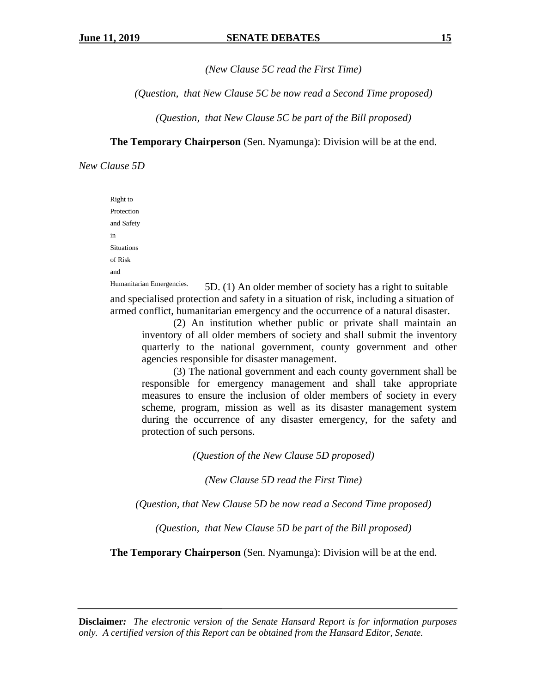*(New Clause 5C read the First Time)*

*(Question, that New Clause 5C be now read a Second Time proposed)*

*(Question, that New Clause 5C be part of the Bill proposed)*

**The Temporary Chairperson** (Sen. Nyamunga): Division will be at the end.

*New Clause 5D*

Right to Protection and Safety in Situations of Risk and

Humanitarian Emergencies. 5D. (1) An older member of society has a right to suitable and specialised protection and safety in a situation of risk, including a situation of armed conflict, humanitarian emergency and the occurrence of a natural disaster.

(2) An institution whether public or private shall maintain an inventory of all older members of society and shall submit the inventory quarterly to the national government, county government and other agencies responsible for disaster management.

(3) The national government and each county government shall be responsible for emergency management and shall take appropriate measures to ensure the inclusion of older members of society in every scheme, program, mission as well as its disaster management system during the occurrence of any disaster emergency, for the safety and protection of such persons.

*(Question of the New Clause 5D proposed)*

*(New Clause 5D read the First Time)*

*(Question, that New Clause 5D be now read a Second Time proposed)*

*(Question, that New Clause 5D be part of the Bill proposed)*

**The Temporary Chairperson** (Sen. Nyamunga): Division will be at the end.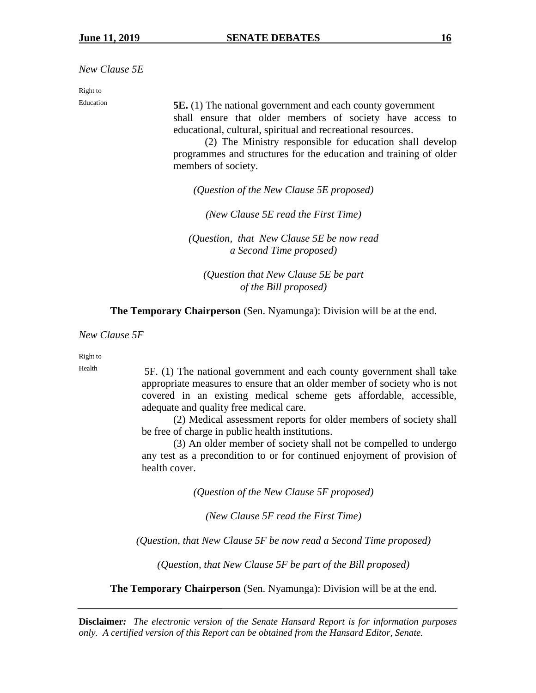*New Clause 5E*

Right to

Education **5E.** (1) The national government and each county government shall ensure that older members of society have access to educational, cultural, spiritual and recreational resources.

> (2) The Ministry responsible for education shall develop programmes and structures for the education and training of older members of society.

*(Question of the New Clause 5E proposed)*

*(New Clause 5E read the First Time)*

*(Question, that New Clause 5E be now read a Second Time proposed)*

*(Question that New Clause 5E be part of the Bill proposed)*

**The Temporary Chairperson** (Sen. Nyamunga): Division will be at the end.

*New Clause 5F*

Right to

Health 5F. (1) The national government and each county government shall take appropriate measures to ensure that an older member of society who is not covered in an existing medical scheme gets affordable, accessible, adequate and quality free medical care.

> (2) Medical assessment reports for older members of society shall be free of charge in public health institutions.

> (3) An older member of society shall not be compelled to undergo any test as a precondition to or for continued enjoyment of provision of health cover.

> > *(Question of the New Clause 5F proposed)*

*(New Clause 5F read the First Time)*

*(Question, that New Clause 5F be now read a Second Time proposed)*

*(Question, that New Clause 5F be part of the Bill proposed)*

**The Temporary Chairperson** (Sen. Nyamunga): Division will be at the end.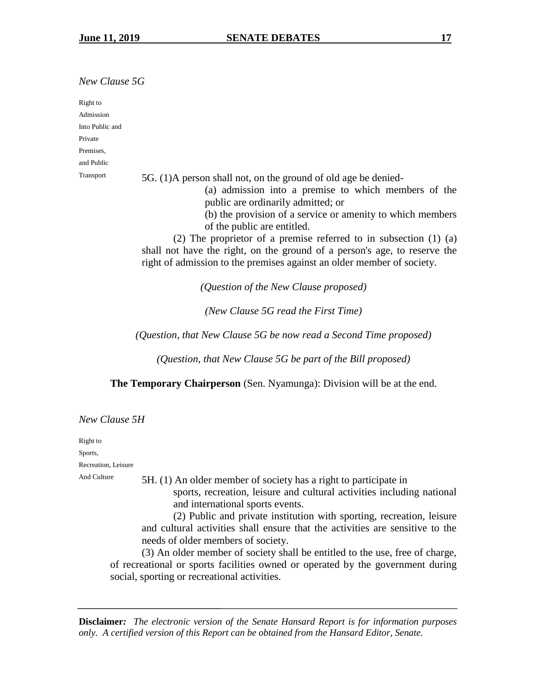*New Clause 5G*

Right to Admission Into Public and Private Premises, and Public Transport 5G. (1)A person shall not, on the ground of old age be denied- (a) admission into a premise to which members of the public are ordinarily admitted; or (b) the provision of a service or amenity to which members of the public are entitled. (2) The proprietor of a premise referred to in subsection (1) (a)

shall not have the right, on the ground of a person's age, to reserve the right of admission to the premises against an older member of society.

*(Question of the New Clause proposed)*

*(New Clause 5G read the First Time)*

*(Question, that New Clause 5G be now read a Second Time proposed)*

*(Question, that New Clause 5G be part of the Bill proposed)*

**The Temporary Chairperson** (Sen. Nyamunga): Division will be at the end.

*New Clause 5H*

Right to

Sports,

Recreation, Leisure

And Culture 5H. (1) An older member of society has a right to participate in sports, recreation, leisure and cultural activities including national and international sports events.

> (2) Public and private institution with sporting, recreation, leisure and cultural activities shall ensure that the activities are sensitive to the needs of older members of society.

(3) An older member of society shall be entitled to the use, free of charge, of recreational or sports facilities owned or operated by the government during social, sporting or recreational activities.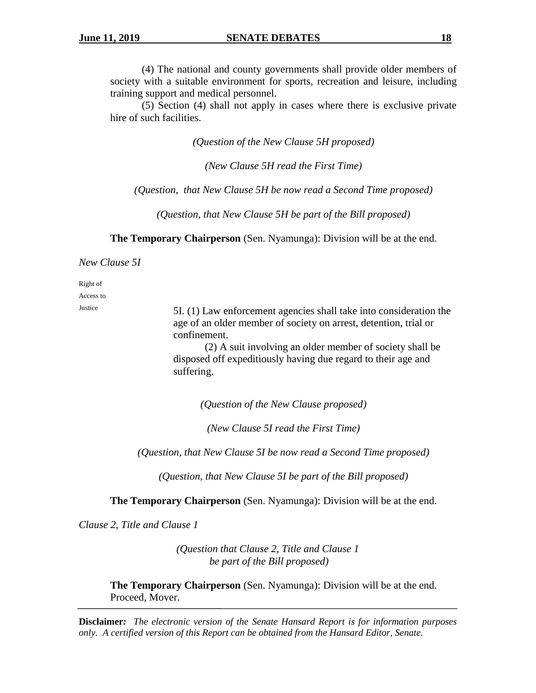(4) The national and county governments shall provide older members of society with a suitable environment for sports, recreation and leisure, including training support and medical personnel.

(5) Section (4) shall not apply in cases where there is exclusive private hire of such facilities.

*(Question of the New Clause 5H proposed)*

*(New Clause 5H read the First Time)*

*(Question, that New Clause 5H be now read a Second Time proposed)*

*(Question, that New Clause 5H be part of the Bill proposed)*

**The Temporary Chairperson** (Sen. Nyamunga): Division will be at the end.

*New Clause 5I*

Right of

Access to

Justice 5I. (1) Law enforcement agencies shall take into consideration the age of an older member of society on arrest, detention, trial or confinement.

> (2) A suit involving an older member of society shall be disposed off expeditiously having due regard to their age and suffering.

*(Question of the New Clause proposed)*

*(New Clause 5I read the First Time)*

*(Question, that New Clause 5I be now read a Second Time proposed)*

*(Question, that New Clause 5I be part of the Bill proposed)*

**The Temporary Chairperson** (Sen. Nyamunga): Division will be at the end.

*Clause 2, Title and Clause 1*

*(Question that Clause 2, Title and Clause 1 be part of the Bill proposed)*

**The Temporary Chairperson** (Sen. Nyamunga): Division will be at the end. Proceed, Mover.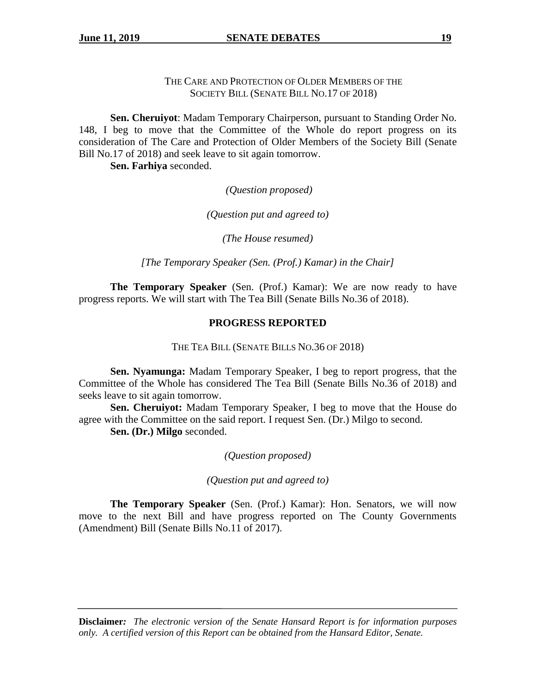THE CARE AND PROTECTION OF OLDER MEMBERS OF THE SOCIETY BILL (SENATE BILL NO.17 OF 2018)

**Sen. Cheruiyot**: Madam Temporary Chairperson, pursuant to Standing Order No. 148, I beg to move that the Committee of the Whole do report progress on its consideration of The Care and Protection of Older Members of the Society Bill (Senate Bill No.17 of 2018) and seek leave to sit again tomorrow.

**Sen. Farhiya** seconded.

*(Question proposed)*

*(Question put and agreed to)*

*(The House resumed)*

*[The Temporary Speaker (Sen. (Prof.) Kamar) in the Chair]*

**The Temporary Speaker** (Sen. (Prof.) Kamar): We are now ready to have progress reports. We will start with The Tea Bill (Senate Bills No.36 of 2018).

## **PROGRESS REPORTED**

THE TEA BILL (SENATE BILLS NO.36 OF 2018)

**Sen. Nyamunga:** Madam Temporary Speaker, I beg to report progress, that the Committee of the Whole has considered The Tea Bill (Senate Bills No.36 of 2018) and seeks leave to sit again tomorrow.

**Sen. Cheruiyot:** Madam Temporary Speaker, I beg to move that the House do agree with the Committee on the said report. I request Sen. (Dr.) Milgo to second.

**Sen. (Dr.) Milgo** seconded.

*(Question proposed)*

*(Question put and agreed to)*

**The Temporary Speaker** (Sen. (Prof.) Kamar): Hon. Senators, we will now move to the next Bill and have progress reported on The County Governments (Amendment) Bill (Senate Bills No.11 of 2017).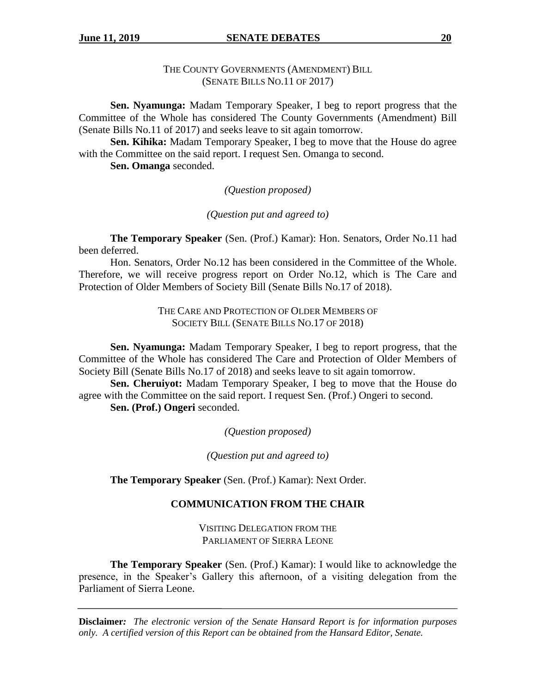# THE COUNTY GOVERNMENTS (AMENDMENT) BILL (SENATE BILLS NO.11 OF 2017)

**Sen. Nyamunga:** Madam Temporary Speaker, I beg to report progress that the Committee of the Whole has considered The County Governments (Amendment) Bill (Senate Bills No.11 of 2017) and seeks leave to sit again tomorrow.

**Sen. Kihika:** Madam Temporary Speaker, I beg to move that the House do agree with the Committee on the said report. I request Sen. Omanga to second.

**Sen. Omanga** seconded.

*(Question proposed)*

*(Question put and agreed to)*

**The Temporary Speaker** (Sen. (Prof.) Kamar): Hon. Senators, Order No.11 had been deferred.

Hon. Senators, Order No.12 has been considered in the Committee of the Whole. Therefore, we will receive progress report on Order No.12, which is The Care and Protection of Older Members of Society Bill (Senate Bills No.17 of 2018).

> THE CARE AND PROTECTION OF OLDER MEMBERS OF SOCIETY BILL (SENATE BILLS NO.17 OF 2018)

**Sen. Nyamunga:** Madam Temporary Speaker, I beg to report progress, that the Committee of the Whole has considered The Care and Protection of Older Members of Society Bill (Senate Bills No.17 of 2018) and seeks leave to sit again tomorrow.

**Sen. Cheruiyot:** Madam Temporary Speaker, I beg to move that the House do agree with the Committee on the said report. I request Sen. (Prof.) Ongeri to second. **Sen. (Prof.) Ongeri** seconded.

*(Question proposed)*

*(Question put and agreed to)*

**The Temporary Speaker** (Sen. (Prof.) Kamar): Next Order.

# **COMMUNICATION FROM THE CHAIR**

VISITING DELEGATION FROM THE PARLIAMENT OF SIERRA LEONE

**The Temporary Speaker** (Sen. (Prof.) Kamar): I would like to acknowledge the presence, in the Speaker's Gallery this afternoon, of a visiting delegation from the Parliament of Sierra Leone.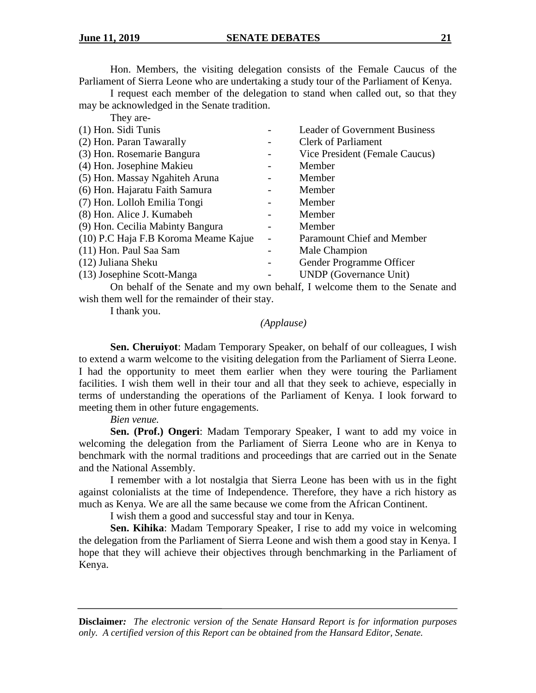Hon. Members, the visiting delegation consists of the Female Caucus of the Parliament of Sierra Leone who are undertaking a study tour of the Parliament of Kenya.

I request each member of the delegation to stand when called out, so that they may be acknowledged in the Senate tradition. They are-

| $1 \text{ TeV}$ are                  |                                      |
|--------------------------------------|--------------------------------------|
| (1) Hon. Sidi Tunis                  | <b>Leader of Government Business</b> |
| (2) Hon. Paran Tawarally             | <b>Clerk of Parliament</b>           |
| (3) Hon. Rosemarie Bangura           | Vice President (Female Caucus)       |
| (4) Hon. Josephine Makieu            | Member                               |
| (5) Hon. Massay Ngahiteh Aruna       | Member                               |
| (6) Hon. Hajaratu Faith Samura       | Member                               |
| (7) Hon. Lolloh Emilia Tongi         | Member                               |
| (8) Hon. Alice J. Kumabeh            | Member                               |
| (9) Hon. Cecilia Mabinty Bangura     | Member                               |
| (10) P.C Haja F.B Koroma Meame Kajue | Paramount Chief and Member           |
| (11) Hon. Paul Saa Sam               | Male Champion                        |
| (12) Juliana Sheku                   | Gender Programme Officer             |
| (13) Josephine Scott-Manga           | <b>UNDP</b> (Governance Unit)        |
|                                      |                                      |

On behalf of the Senate and my own behalf, I welcome them to the Senate and wish them well for the remainder of their stay.

I thank you.

### *(Applause)*

**Sen. Cheruiyot**: Madam Temporary Speaker, on behalf of our colleagues, I wish to extend a warm welcome to the visiting delegation from the Parliament of Sierra Leone. I had the opportunity to meet them earlier when they were touring the Parliament facilities. I wish them well in their tour and all that they seek to achieve, especially in terms of understanding the operations of the Parliament of Kenya. I look forward to meeting them in other future engagements.

### *Bien venue.*

**Sen. (Prof.) Ongeri**: Madam Temporary Speaker, I want to add my voice in welcoming the delegation from the Parliament of Sierra Leone who are in Kenya to benchmark with the normal traditions and proceedings that are carried out in the Senate and the National Assembly.

I remember with a lot nostalgia that Sierra Leone has been with us in the fight against colonialists at the time of Independence. Therefore, they have a rich history as much as Kenya. We are all the same because we come from the African Continent.

I wish them a good and successful stay and tour in Kenya.

**Sen. Kihika**: Madam Temporary Speaker, I rise to add my voice in welcoming the delegation from the Parliament of Sierra Leone and wish them a good stay in Kenya. I hope that they will achieve their objectives through benchmarking in the Parliament of Kenya.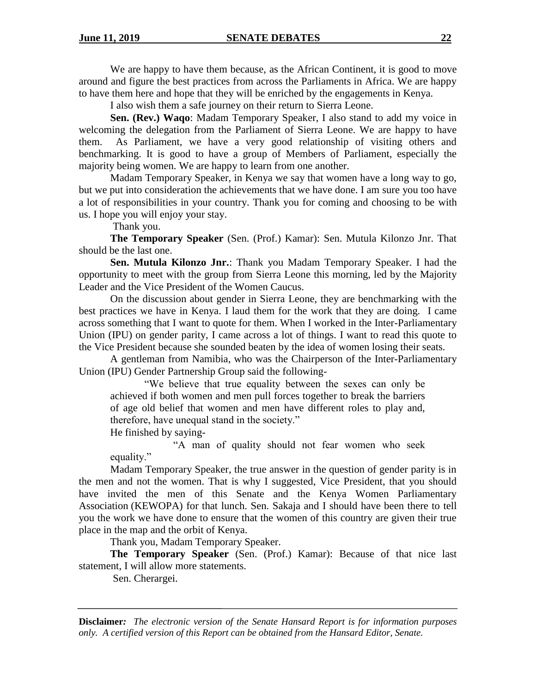We are happy to have them because, as the African Continent, it is good to move around and figure the best practices from across the Parliaments in Africa. We are happy to have them here and hope that they will be enriched by the engagements in Kenya.

I also wish them a safe journey on their return to Sierra Leone.

**Sen. (Rev.) Waqo**: Madam Temporary Speaker, I also stand to add my voice in welcoming the delegation from the Parliament of Sierra Leone. We are happy to have them. As Parliament, we have a very good relationship of visiting others and benchmarking. It is good to have a group of Members of Parliament, especially the majority being women. We are happy to learn from one another.

Madam Temporary Speaker, in Kenya we say that women have a long way to go, but we put into consideration the achievements that we have done. I am sure you too have a lot of responsibilities in your country. Thank you for coming and choosing to be with us. I hope you will enjoy your stay.

Thank you.

**The Temporary Speaker** (Sen. (Prof.) Kamar): Sen. Mutula Kilonzo Jnr. That should be the last one.

**Sen. Mutula Kilonzo Jnr.**: Thank you Madam Temporary Speaker. I had the opportunity to meet with the group from Sierra Leone this morning, led by the Majority Leader and the Vice President of the Women Caucus.

On the discussion about gender in Sierra Leone, they are benchmarking with the best practices we have in Kenya. I laud them for the work that they are doing. I came across something that I want to quote for them. When I worked in the Inter-Parliamentary Union (IPU) on gender parity, I came across a lot of things. I want to read this quote to the Vice President because she sounded beaten by the idea of women losing their seats.

A gentleman from Namibia, who was the Chairperson of the Inter-Parliamentary Union (IPU) Gender Partnership Group said the following-

"We believe that true equality between the sexes can only be achieved if both women and men pull forces together to break the barriers of age old belief that women and men have different roles to play and, therefore, have unequal stand in the society."

He finished by saying-

"A man of quality should not fear women who seek equality."

Madam Temporary Speaker, the true answer in the question of gender parity is in the men and not the women. That is why I suggested, Vice President, that you should have invited the men of this Senate and the Kenya Women Parliamentary Association (KEWOPA) for that lunch. Sen. Sakaja and I should have been there to tell you the work we have done to ensure that the women of this country are given their true place in the map and the orbit of Kenya.

Thank you, Madam Temporary Speaker.

**The Temporary Speaker** (Sen. (Prof.) Kamar): Because of that nice last statement, I will allow more statements.

Sen. Cherargei.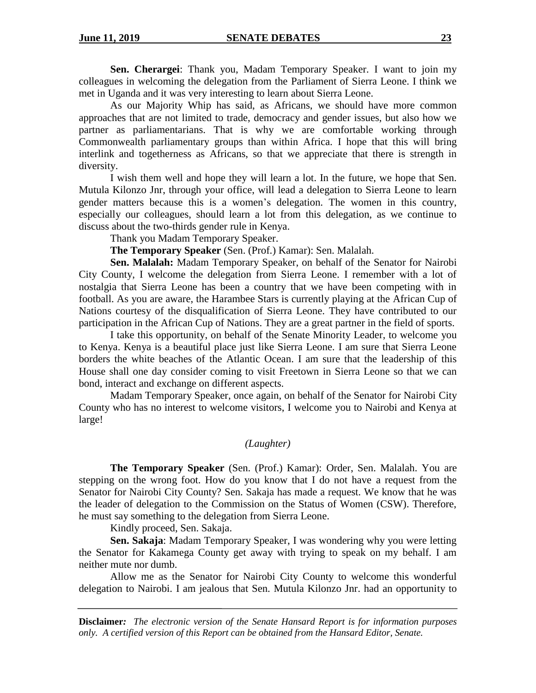**Sen. Cherargei**: Thank you, Madam Temporary Speaker. I want to join my colleagues in welcoming the delegation from the Parliament of Sierra Leone. I think we met in Uganda and it was very interesting to learn about Sierra Leone.

As our Majority Whip has said, as Africans, we should have more common approaches that are not limited to trade, democracy and gender issues, but also how we partner as parliamentarians. That is why we are comfortable working through Commonwealth parliamentary groups than within Africa. I hope that this will bring interlink and togetherness as Africans, so that we appreciate that there is strength in diversity.

I wish them well and hope they will learn a lot. In the future, we hope that Sen. Mutula Kilonzo Jnr, through your office, will lead a delegation to Sierra Leone to learn gender matters because this is a women's delegation. The women in this country, especially our colleagues, should learn a lot from this delegation, as we continue to discuss about the two-thirds gender rule in Kenya.

Thank you Madam Temporary Speaker.

**The Temporary Speaker** (Sen. (Prof.) Kamar): Sen. Malalah.

**Sen. Malalah:** Madam Temporary Speaker, on behalf of the Senator for Nairobi City County, I welcome the delegation from Sierra Leone. I remember with a lot of nostalgia that Sierra Leone has been a country that we have been competing with in football. As you are aware, the Harambee Stars is currently playing at the African Cup of Nations courtesy of the disqualification of Sierra Leone. They have contributed to our participation in the African Cup of Nations. They are a great partner in the field of sports.

I take this opportunity, on behalf of the Senate Minority Leader, to welcome you to Kenya. Kenya is a beautiful place just like Sierra Leone. I am sure that Sierra Leone borders the white beaches of the Atlantic Ocean. I am sure that the leadership of this House shall one day consider coming to visit Freetown in Sierra Leone so that we can bond, interact and exchange on different aspects.

Madam Temporary Speaker, once again, on behalf of the Senator for Nairobi City County who has no interest to welcome visitors, I welcome you to Nairobi and Kenya at large!

### *(Laughter)*

**The Temporary Speaker** (Sen. (Prof.) Kamar): Order, Sen. Malalah. You are stepping on the wrong foot. How do you know that I do not have a request from the Senator for Nairobi City County? Sen. Sakaja has made a request. We know that he was the leader of delegation to the Commission on the Status of Women (CSW). Therefore, he must say something to the delegation from Sierra Leone.

Kindly proceed, Sen. Sakaja.

**Sen. Sakaja**: Madam Temporary Speaker, I was wondering why you were letting the Senator for Kakamega County get away with trying to speak on my behalf. I am neither mute nor dumb.

Allow me as the Senator for Nairobi City County to welcome this wonderful delegation to Nairobi. I am jealous that Sen. Mutula Kilonzo Jnr. had an opportunity to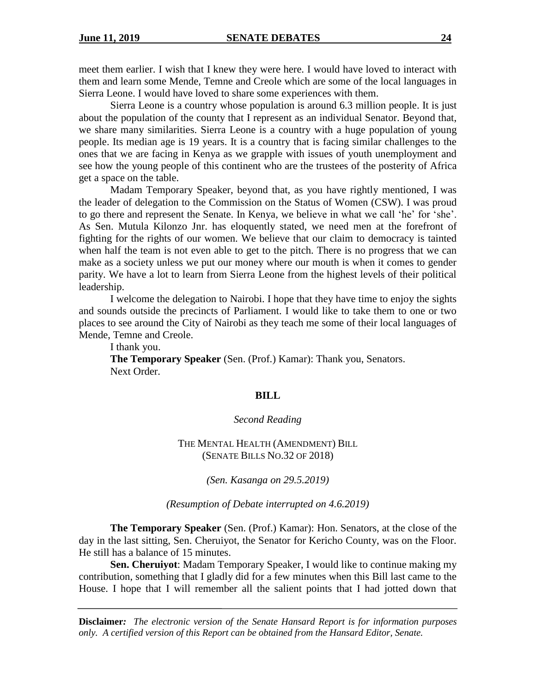meet them earlier. I wish that I knew they were here. I would have loved to interact with them and learn some Mende, Temne and Creole which are some of the local languages in Sierra Leone. I would have loved to share some experiences with them.

Sierra Leone is a country whose population is around 6.3 million people. It is just about the population of the county that I represent as an individual Senator. Beyond that, we share many similarities. Sierra Leone is a country with a huge population of young people. Its median age is 19 years. It is a country that is facing similar challenges to the ones that we are facing in Kenya as we grapple with issues of youth unemployment and see how the young people of this continent who are the trustees of the posterity of Africa get a space on the table.

Madam Temporary Speaker, beyond that, as you have rightly mentioned, I was the leader of delegation to the Commission on the Status of Women (CSW). I was proud to go there and represent the Senate. In Kenya, we believe in what we call 'he' for 'she'. As Sen. Mutula Kilonzo Jnr. has eloquently stated, we need men at the forefront of fighting for the rights of our women. We believe that our claim to democracy is tainted when half the team is not even able to get to the pitch. There is no progress that we can make as a society unless we put our money where our mouth is when it comes to gender parity. We have a lot to learn from Sierra Leone from the highest levels of their political leadership.

I welcome the delegation to Nairobi. I hope that they have time to enjoy the sights and sounds outside the precincts of Parliament. I would like to take them to one or two places to see around the City of Nairobi as they teach me some of their local languages of Mende, Temne and Creole.

I thank you.

**The Temporary Speaker** (Sen. (Prof.) Kamar): Thank you, Senators. Next Order.

### **BILL**

#### *Second Reading*

### THE MENTAL HEALTH (AMENDMENT) BILL (SENATE BILLS NO.32 OF 2018)

*(Sen. Kasanga on 29.5.2019)*

*(Resumption of Debate interrupted on 4.6.2019)*

**The Temporary Speaker** (Sen. (Prof.) Kamar): Hon. Senators, at the close of the day in the last sitting, Sen. Cheruiyot, the Senator for Kericho County, was on the Floor. He still has a balance of 15 minutes.

**Sen. Cheruiyot**: Madam Temporary Speaker, I would like to continue making my contribution, something that I gladly did for a few minutes when this Bill last came to the House. I hope that I will remember all the salient points that I had jotted down that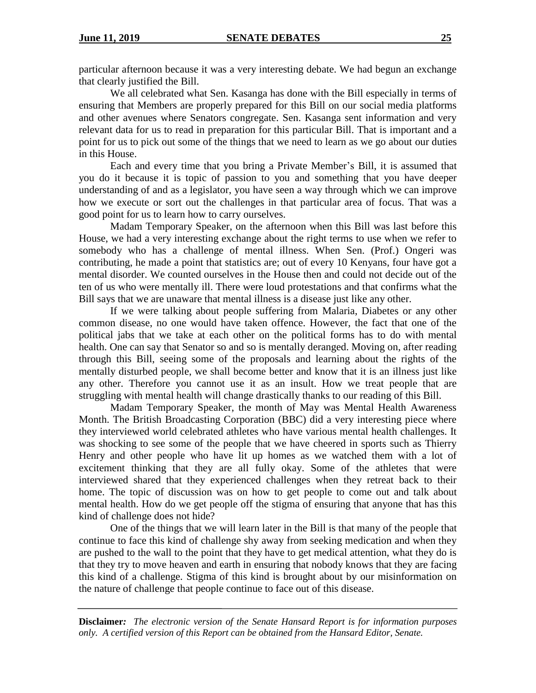particular afternoon because it was a very interesting debate. We had begun an exchange that clearly justified the Bill.

We all celebrated what Sen. Kasanga has done with the Bill especially in terms of ensuring that Members are properly prepared for this Bill on our social media platforms and other avenues where Senators congregate. Sen. Kasanga sent information and very relevant data for us to read in preparation for this particular Bill. That is important and a point for us to pick out some of the things that we need to learn as we go about our duties in this House.

Each and every time that you bring a Private Member's Bill, it is assumed that you do it because it is topic of passion to you and something that you have deeper understanding of and as a legislator, you have seen a way through which we can improve how we execute or sort out the challenges in that particular area of focus. That was a good point for us to learn how to carry ourselves.

Madam Temporary Speaker, on the afternoon when this Bill was last before this House, we had a very interesting exchange about the right terms to use when we refer to somebody who has a challenge of mental illness. When Sen. (Prof.) Ongeri was contributing, he made a point that statistics are; out of every 10 Kenyans, four have got a mental disorder. We counted ourselves in the House then and could not decide out of the ten of us who were mentally ill. There were loud protestations and that confirms what the Bill says that we are unaware that mental illness is a disease just like any other.

If we were talking about people suffering from Malaria, Diabetes or any other common disease, no one would have taken offence. However, the fact that one of the political jabs that we take at each other on the political forms has to do with mental health. One can say that Senator so and so is mentally deranged. Moving on, after reading through this Bill, seeing some of the proposals and learning about the rights of the mentally disturbed people, we shall become better and know that it is an illness just like any other. Therefore you cannot use it as an insult. How we treat people that are struggling with mental health will change drastically thanks to our reading of this Bill.

Madam Temporary Speaker, the month of May was Mental Health Awareness Month. The British Broadcasting Corporation (BBC) did a very interesting piece where they interviewed world celebrated athletes who have various mental health challenges. It was shocking to see some of the people that we have cheered in sports such as Thierry Henry and other people who have lit up homes as we watched them with a lot of excitement thinking that they are all fully okay. Some of the athletes that were interviewed shared that they experienced challenges when they retreat back to their home. The topic of discussion was on how to get people to come out and talk about mental health. How do we get people off the stigma of ensuring that anyone that has this kind of challenge does not hide?

One of the things that we will learn later in the Bill is that many of the people that continue to face this kind of challenge shy away from seeking medication and when they are pushed to the wall to the point that they have to get medical attention, what they do is that they try to move heaven and earth in ensuring that nobody knows that they are facing this kind of a challenge. Stigma of this kind is brought about by our misinformation on the nature of challenge that people continue to face out of this disease.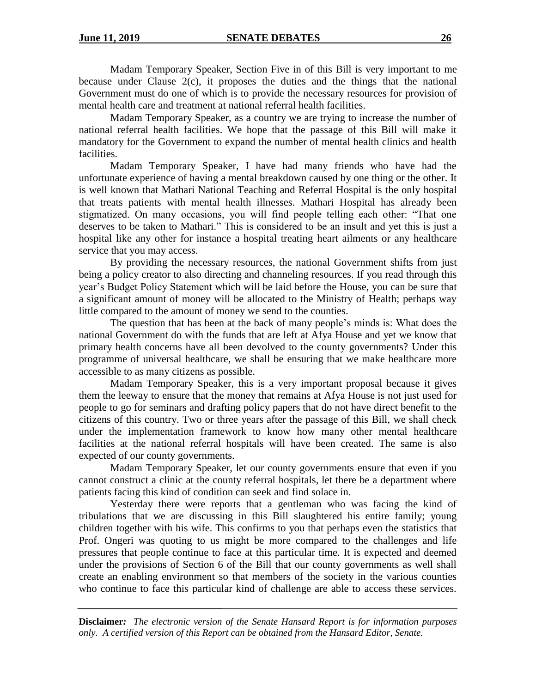Madam Temporary Speaker, Section Five in of this Bill is very important to me because under Clause 2(c), it proposes the duties and the things that the national Government must do one of which is to provide the necessary resources for provision of mental health care and treatment at national referral health facilities.

Madam Temporary Speaker, as a country we are trying to increase the number of national referral health facilities. We hope that the passage of this Bill will make it mandatory for the Government to expand the number of mental health clinics and health facilities.

Madam Temporary Speaker, I have had many friends who have had the unfortunate experience of having a mental breakdown caused by one thing or the other. It is well known that Mathari National Teaching and Referral Hospital is the only hospital that treats patients with mental health illnesses. Mathari Hospital has already been stigmatized. On many occasions, you will find people telling each other: "That one deserves to be taken to Mathari." This is considered to be an insult and yet this is just a hospital like any other for instance a hospital treating heart ailments or any healthcare service that you may access.

By providing the necessary resources, the national Government shifts from just being a policy creator to also directing and channeling resources. If you read through this year's Budget Policy Statement which will be laid before the House, you can be sure that a significant amount of money will be allocated to the Ministry of Health; perhaps way little compared to the amount of money we send to the counties.

The question that has been at the back of many people's minds is: What does the national Government do with the funds that are left at Afya House and yet we know that primary health concerns have all been devolved to the county governments? Under this programme of universal healthcare, we shall be ensuring that we make healthcare more accessible to as many citizens as possible.

Madam Temporary Speaker, this is a very important proposal because it gives them the leeway to ensure that the money that remains at Afya House is not just used for people to go for seminars and drafting policy papers that do not have direct benefit to the citizens of this country. Two or three years after the passage of this Bill, we shall check under the implementation framework to know how many other mental healthcare facilities at the national referral hospitals will have been created. The same is also expected of our county governments.

Madam Temporary Speaker, let our county governments ensure that even if you cannot construct a clinic at the county referral hospitals, let there be a department where patients facing this kind of condition can seek and find solace in.

Yesterday there were reports that a gentleman who was facing the kind of tribulations that we are discussing in this Bill slaughtered his entire family; young children together with his wife. This confirms to you that perhaps even the statistics that Prof. Ongeri was quoting to us might be more compared to the challenges and life pressures that people continue to face at this particular time. It is expected and deemed under the provisions of Section 6 of the Bill that our county governments as well shall create an enabling environment so that members of the society in the various counties who continue to face this particular kind of challenge are able to access these services.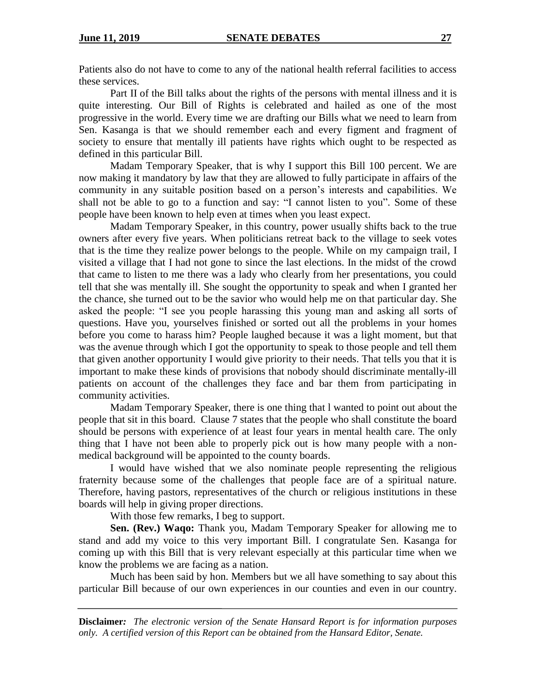Patients also do not have to come to any of the national health referral facilities to access these services.

Part II of the Bill talks about the rights of the persons with mental illness and it is quite interesting. Our Bill of Rights is celebrated and hailed as one of the most progressive in the world. Every time we are drafting our Bills what we need to learn from Sen. Kasanga is that we should remember each and every figment and fragment of society to ensure that mentally ill patients have rights which ought to be respected as defined in this particular Bill.

Madam Temporary Speaker, that is why I support this Bill 100 percent. We are now making it mandatory by law that they are allowed to fully participate in affairs of the community in any suitable position based on a person's interests and capabilities. We shall not be able to go to a function and say: "I cannot listen to you". Some of these people have been known to help even at times when you least expect.

Madam Temporary Speaker, in this country, power usually shifts back to the true owners after every five years. When politicians retreat back to the village to seek votes that is the time they realize power belongs to the people. While on my campaign trail, I visited a village that I had not gone to since the last elections. In the midst of the crowd that came to listen to me there was a lady who clearly from her presentations, you could tell that she was mentally ill. She sought the opportunity to speak and when I granted her the chance, she turned out to be the savior who would help me on that particular day. She asked the people: "I see you people harassing this young man and asking all sorts of questions. Have you, yourselves finished or sorted out all the problems in your homes before you come to harass him? People laughed because it was a light moment, but that was the avenue through which I got the opportunity to speak to those people and tell them that given another opportunity I would give priority to their needs. That tells you that it is important to make these kinds of provisions that nobody should discriminate mentally-ill patients on account of the challenges they face and bar them from participating in community activities.

Madam Temporary Speaker, there is one thing that l wanted to point out about the people that sit in this board. Clause 7 states that the people who shall constitute the board should be persons with experience of at least four years in mental health care. The only thing that I have not been able to properly pick out is how many people with a nonmedical background will be appointed to the county boards.

I would have wished that we also nominate people representing the religious fraternity because some of the challenges that people face are of a spiritual nature. Therefore, having pastors, representatives of the church or religious institutions in these boards will help in giving proper directions.

With those few remarks, I beg to support.

**Sen. (Rev.) Waqo:** Thank you, Madam Temporary Speaker for allowing me to stand and add my voice to this very important Bill. I congratulate Sen. Kasanga for coming up with this Bill that is very relevant especially at this particular time when we know the problems we are facing as a nation.

Much has been said by hon. Members but we all have something to say about this particular Bill because of our own experiences in our counties and even in our country.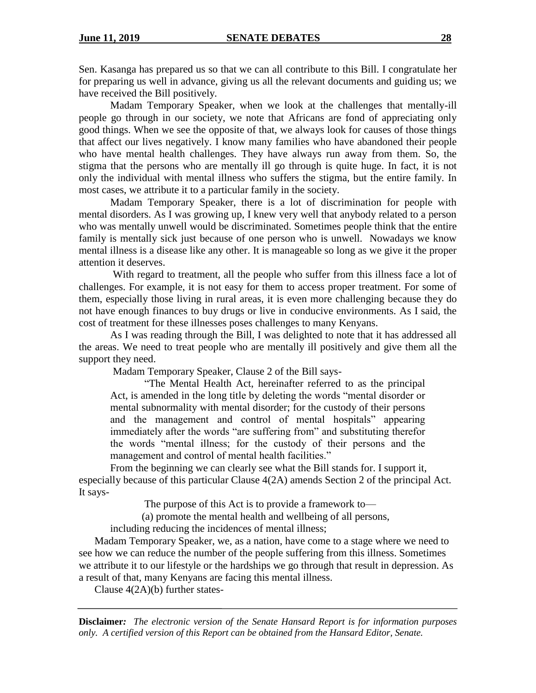Sen. Kasanga has prepared us so that we can all contribute to this Bill. I congratulate her for preparing us well in advance, giving us all the relevant documents and guiding us; we have received the Bill positively.

Madam Temporary Speaker, when we look at the challenges that mentally-ill people go through in our society, we note that Africans are fond of appreciating only good things. When we see the opposite of that, we always look for causes of those things that affect our lives negatively. I know many families who have abandoned their people who have mental health challenges. They have always run away from them. So, the stigma that the persons who are mentally ill go through is quite huge. In fact, it is not only the individual with mental illness who suffers the stigma, but the entire family. In most cases, we attribute it to a particular family in the society.

Madam Temporary Speaker, there is a lot of discrimination for people with mental disorders. As I was growing up, I knew very well that anybody related to a person who was mentally unwell would be discriminated. Sometimes people think that the entire family is mentally sick just because of one person who is unwell. Nowadays we know mental illness is a disease like any other. It is manageable so long as we give it the proper attention it deserves.

With regard to treatment, all the people who suffer from this illness face a lot of challenges. For example, it is not easy for them to access proper treatment. For some of them, especially those living in rural areas, it is even more challenging because they do not have enough finances to buy drugs or live in conducive environments. As I said, the cost of treatment for these illnesses poses challenges to many Kenyans.

As I was reading through the Bill, I was delighted to note that it has addressed all the areas. We need to treat people who are mentally ill positively and give them all the support they need.

Madam Temporary Speaker, Clause 2 of the Bill says-

"The Mental Health Act, hereinafter referred to as the principal Act, is amended in the long title by deleting the words "mental disorder or mental subnormality with mental disorder; for the custody of their persons and the management and control of mental hospitals" appearing immediately after the words "are suffering from" and substituting therefor the words "mental illness; for the custody of their persons and the management and control of mental health facilities."

From the beginning we can clearly see what the Bill stands for. I support it, especially because of this particular Clause 4(2A) amends Section 2 of the principal Act. It says-

The purpose of this Act is to provide a framework to—

(a) promote the mental health and wellbeing of all persons,

including reducing the incidences of mental illness;

Madam Temporary Speaker, we, as a nation, have come to a stage where we need to see how we can reduce the number of the people suffering from this illness. Sometimes we attribute it to our lifestyle or the hardships we go through that result in depression. As a result of that, many Kenyans are facing this mental illness.

Clause 4(2A)(b) further states-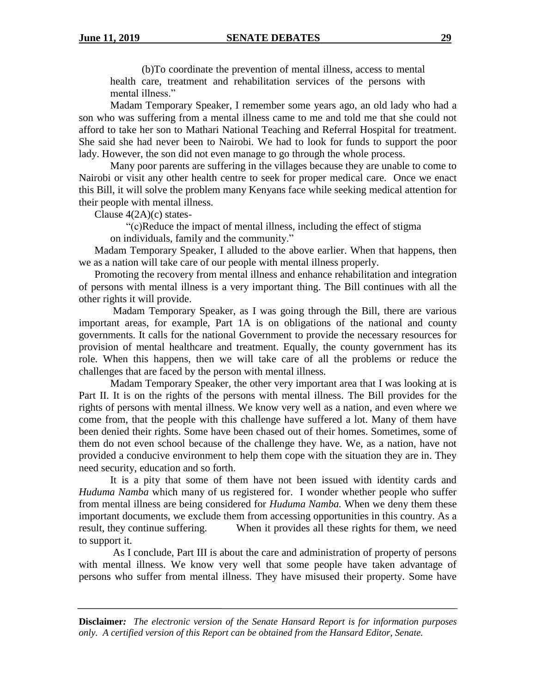(b)To coordinate the prevention of mental illness, access to mental health care, treatment and rehabilitation services of the persons with mental illness."

Madam Temporary Speaker, I remember some years ago, an old lady who had a son who was suffering from a mental illness came to me and told me that she could not afford to take her son to Mathari National Teaching and Referral Hospital for treatment. She said she had never been to Nairobi. We had to look for funds to support the poor lady. However, the son did not even manage to go through the whole process.

Many poor parents are suffering in the villages because they are unable to come to Nairobi or visit any other health centre to seek for proper medical care. Once we enact this Bill, it will solve the problem many Kenyans face while seeking medical attention for their people with mental illness.

Clause 4(2A)(c) states-

"(c)Reduce the impact of mental illness, including the effect of stigma on individuals, family and the community."

Madam Temporary Speaker, I alluded to the above earlier. When that happens, then we as a nation will take care of our people with mental illness properly.

Promoting the recovery from mental illness and enhance rehabilitation and integration of persons with mental illness is a very important thing. The Bill continues with all the other rights it will provide.

Madam Temporary Speaker, as I was going through the Bill, there are various important areas, for example, Part 1A is on obligations of the national and county governments. It calls for the national Government to provide the necessary resources for provision of mental healthcare and treatment. Equally, the county government has its role. When this happens, then we will take care of all the problems or reduce the challenges that are faced by the person with mental illness.

Madam Temporary Speaker, the other very important area that I was looking at is Part II. It is on the rights of the persons with mental illness. The Bill provides for the rights of persons with mental illness. We know very well as a nation, and even where we come from, that the people with this challenge have suffered a lot. Many of them have been denied their rights. Some have been chased out of their homes. Sometimes, some of them do not even school because of the challenge they have. We, as a nation, have not provided a conducive environment to help them cope with the situation they are in. They need security, education and so forth.

It is a pity that some of them have not been issued with identity cards and *Huduma Namba* which many of us registered for. I wonder whether people who suffer from mental illness are being considered for *Huduma Namba.* When we deny them these important documents, we exclude them from accessing opportunities in this country. As a result, they continue suffering. When it provides all these rights for them, we need to support it.

As I conclude, Part III is about the care and administration of property of persons with mental illness. We know very well that some people have taken advantage of persons who suffer from mental illness. They have misused their property. Some have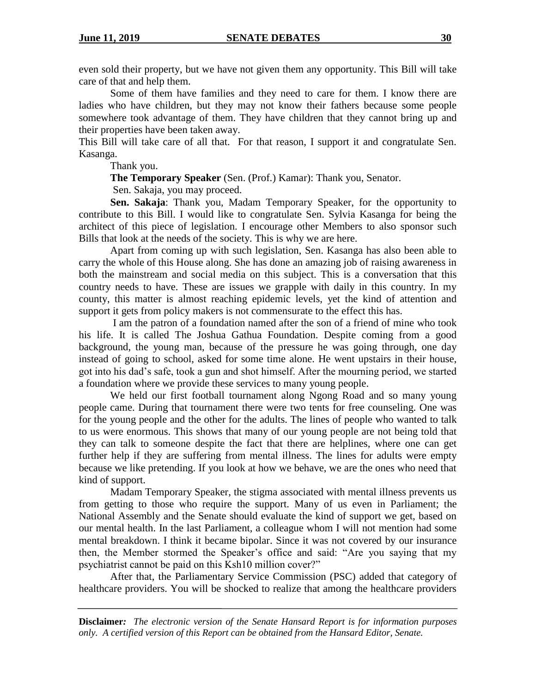even sold their property, but we have not given them any opportunity. This Bill will take care of that and help them.

Some of them have families and they need to care for them. I know there are ladies who have children, but they may not know their fathers because some people somewhere took advantage of them. They have children that they cannot bring up and their properties have been taken away.

This Bill will take care of all that. For that reason, I support it and congratulate Sen. Kasanga.

Thank you.

**The Temporary Speaker** (Sen. (Prof.) Kamar): Thank you, Senator.

Sen. Sakaja, you may proceed.

**Sen. Sakaja**: Thank you, Madam Temporary Speaker, for the opportunity to contribute to this Bill. I would like to congratulate Sen. Sylvia Kasanga for being the architect of this piece of legislation. I encourage other Members to also sponsor such Bills that look at the needs of the society. This is why we are here.

Apart from coming up with such legislation, Sen. Kasanga has also been able to carry the whole of this House along. She has done an amazing job of raising awareness in both the mainstream and social media on this subject. This is a conversation that this country needs to have. These are issues we grapple with daily in this country. In my county, this matter is almost reaching epidemic levels, yet the kind of attention and support it gets from policy makers is not commensurate to the effect this has.

I am the patron of a foundation named after the son of a friend of mine who took his life. It is called The Joshua Gathua Foundation. Despite coming from a good background, the young man, because of the pressure he was going through, one day instead of going to school, asked for some time alone. He went upstairs in their house, got into his dad's safe, took a gun and shot himself. After the mourning period, we started a foundation where we provide these services to many young people.

We held our first football tournament along Ngong Road and so many young people came. During that tournament there were two tents for free counseling. One was for the young people and the other for the adults. The lines of people who wanted to talk to us were enormous. This shows that many of our young people are not being told that they can talk to someone despite the fact that there are helplines, where one can get further help if they are suffering from mental illness. The lines for adults were empty because we like pretending. If you look at how we behave, we are the ones who need that kind of support.

Madam Temporary Speaker, the stigma associated with mental illness prevents us from getting to those who require the support. Many of us even in Parliament; the National Assembly and the Senate should evaluate the kind of support we get, based on our mental health. In the last Parliament, a colleague whom I will not mention had some mental breakdown. I think it became bipolar. Since it was not covered by our insurance then, the Member stormed the Speaker's office and said: "Are you saying that my psychiatrist cannot be paid on this Ksh10 million cover?"

After that, the Parliamentary Service Commission (PSC) added that category of healthcare providers. You will be shocked to realize that among the healthcare providers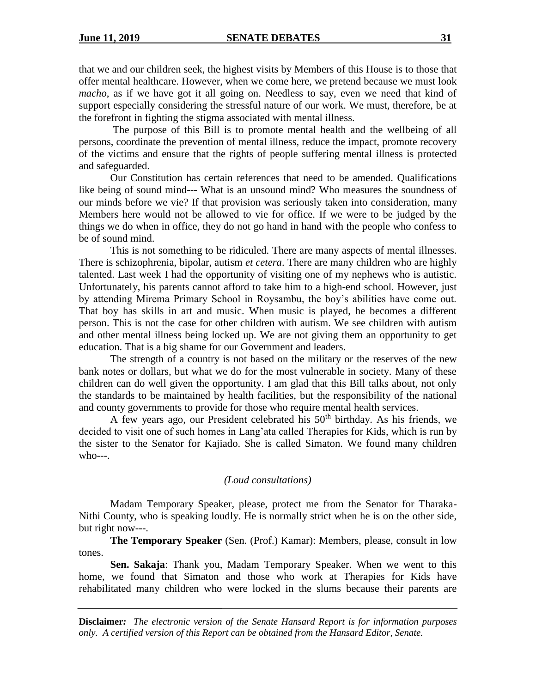that we and our children seek, the highest visits by Members of this House is to those that offer mental healthcare. However, when we come here, we pretend because we must look *macho*, as if we have got it all going on. Needless to say, even we need that kind of support especially considering the stressful nature of our work. We must, therefore, be at the forefront in fighting the stigma associated with mental illness.

The purpose of this Bill is to promote mental health and the wellbeing of all persons, coordinate the prevention of mental illness, reduce the impact, promote recovery of the victims and ensure that the rights of people suffering mental illness is protected and safeguarded.

Our Constitution has certain references that need to be amended. Qualifications like being of sound mind--- What is an unsound mind? Who measures the soundness of our minds before we vie? If that provision was seriously taken into consideration, many Members here would not be allowed to vie for office. If we were to be judged by the things we do when in office, they do not go hand in hand with the people who confess to be of sound mind.

This is not something to be ridiculed. There are many aspects of mental illnesses. There is schizophrenia, bipolar, autism *et cetera*. There are many children who are highly talented. Last week I had the opportunity of visiting one of my nephews who is autistic. Unfortunately, his parents cannot afford to take him to a high-end school. However, just by attending Mirema Primary School in Roysambu, the boy's abilities have come out. That boy has skills in art and music. When music is played, he becomes a different person. This is not the case for other children with autism. We see children with autism and other mental illness being locked up. We are not giving them an opportunity to get education. That is a big shame for our Government and leaders.

The strength of a country is not based on the military or the reserves of the new bank notes or dollars, but what we do for the most vulnerable in society. Many of these children can do well given the opportunity. I am glad that this Bill talks about, not only the standards to be maintained by health facilities, but the responsibility of the national and county governments to provide for those who require mental health services.

A few years ago, our President celebrated his  $50<sup>th</sup>$  birthday. As his friends, we decided to visit one of such homes in Lang'ata called Therapies for Kids, which is run by the sister to the Senator for Kajiado. She is called Simaton. We found many children  $w$ ho $---$ .

### *(Loud consultations)*

Madam Temporary Speaker, please, protect me from the Senator for Tharaka-Nithi County, who is speaking loudly. He is normally strict when he is on the other side, but right now---.

**The Temporary Speaker** (Sen. (Prof.) Kamar): Members, please, consult in low tones.

**Sen. Sakaja**: Thank you, Madam Temporary Speaker. When we went to this home, we found that Simaton and those who work at Therapies for Kids have rehabilitated many children who were locked in the slums because their parents are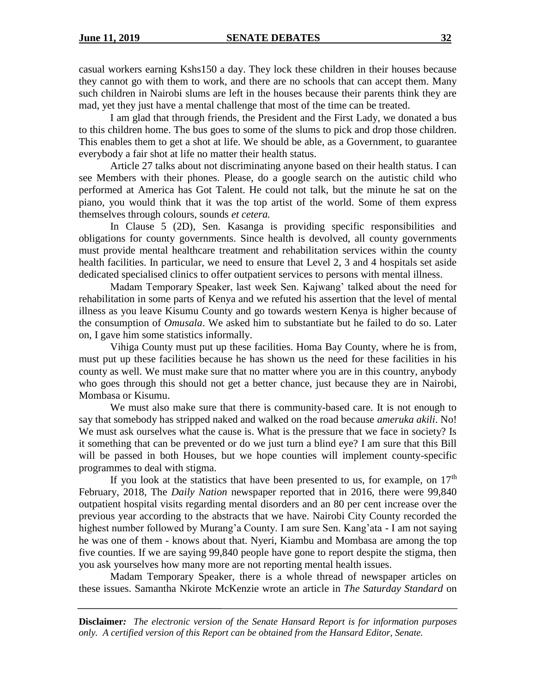casual workers earning Kshs150 a day. They lock these children in their houses because they cannot go with them to work, and there are no schools that can accept them. Many such children in Nairobi slums are left in the houses because their parents think they are mad, yet they just have a mental challenge that most of the time can be treated.

I am glad that through friends, the President and the First Lady, we donated a bus to this children home. The bus goes to some of the slums to pick and drop those children. This enables them to get a shot at life. We should be able, as a Government, to guarantee everybody a fair shot at life no matter their health status.

Article 27 talks about not discriminating anyone based on their health status. I can see Members with their phones. Please, do a google search on the autistic child who performed at America has Got Talent. He could not talk, but the minute he sat on the piano, you would think that it was the top artist of the world. Some of them express themselves through colours, sounds *et cetera.*

In Clause 5 (2D), Sen. Kasanga is providing specific responsibilities and obligations for county governments. Since health is devolved, all county governments must provide mental healthcare treatment and rehabilitation services within the county health facilities. In particular, we need to ensure that Level 2, 3 and 4 hospitals set aside dedicated specialised clinics to offer outpatient services to persons with mental illness.

Madam Temporary Speaker, last week Sen. Kajwang' talked about the need for rehabilitation in some parts of Kenya and we refuted his assertion that the level of mental illness as you leave Kisumu County and go towards western Kenya is higher because of the consumption of *Omusala*. We asked him to substantiate but he failed to do so. Later on, I gave him some statistics informally.

Vihiga County must put up these facilities. Homa Bay County, where he is from, must put up these facilities because he has shown us the need for these facilities in his county as well. We must make sure that no matter where you are in this country, anybody who goes through this should not get a better chance, just because they are in Nairobi, Mombasa or Kisumu.

We must also make sure that there is community-based care. It is not enough to say that somebody has stripped naked and walked on the road because *ameruka akili*. No! We must ask ourselves what the cause is. What is the pressure that we face in society? Is it something that can be prevented or do we just turn a blind eye? I am sure that this Bill will be passed in both Houses, but we hope counties will implement county-specific programmes to deal with stigma.

If you look at the statistics that have been presented to us, for example, on  $17<sup>th</sup>$ February, 2018, The *Daily Nation* newspaper reported that in 2016, there were 99,840 outpatient hospital visits regarding mental disorders and an 80 per cent increase over the previous year according to the abstracts that we have. Nairobi City County recorded the highest number followed by Murang'a County. I am sure Sen. Kang'ata - I am not saying he was one of them - knows about that. Nyeri, Kiambu and Mombasa are among the top five counties. If we are saying 99,840 people have gone to report despite the stigma, then you ask yourselves how many more are not reporting mental health issues.

Madam Temporary Speaker, there is a whole thread of newspaper articles on these issues. Samantha Nkirote McKenzie wrote an article in *The Saturday Standard* on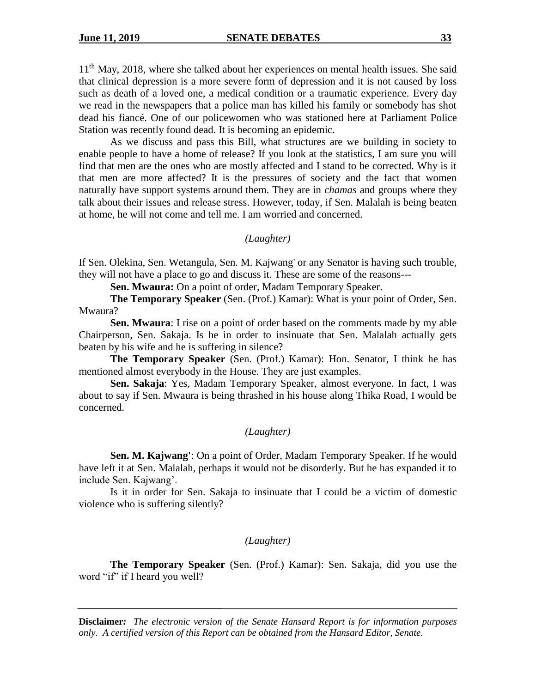11<sup>th</sup> May, 2018, where she talked about her experiences on mental health issues. She said that clinical depression is a more severe form of depression and it is not caused by loss such as death of a loved one, a medical condition or a traumatic experience. Every day we read in the newspapers that a police man has killed his family or somebody has shot dead his fiancé. One of our policewomen who was stationed here at Parliament Police Station was recently found dead. It is becoming an epidemic.

As we discuss and pass this Bill, what structures are we building in society to enable people to have a home of release? If you look at the statistics, I am sure you will find that men are the ones who are mostly affected and I stand to be corrected. Why is it that men are more affected? It is the pressures of society and the fact that women naturally have support systems around them. They are in *chamas* and groups where they talk about their issues and release stress. However, today, if Sen. Malalah is being beaten at home, he will not come and tell me. I am worried and concerned.

*(Laughter)*

If Sen. Olekina, Sen. Wetangula, Sen. M. Kajwang' or any Senator is having such trouble, they will not have a place to go and discuss it. These are some of the reasons---

**Sen. Mwaura:** On a point of order, Madam Temporary Speaker.

**The Temporary Speaker** (Sen. (Prof.) Kamar): What is your point of Order, Sen. Mwaura?

**Sen. Mwaura**: I rise on a point of order based on the comments made by my able Chairperson, Sen. Sakaja. Is he in order to insinuate that Sen. Malalah actually gets beaten by his wife and he is suffering in silence?

**The Temporary Speaker** (Sen. (Prof.) Kamar): Hon. Senator, I think he has mentioned almost everybody in the House. They are just examples.

**Sen. Sakaja**: Yes, Madam Temporary Speaker, almost everyone. In fact, I was about to say if Sen. Mwaura is being thrashed in his house along Thika Road, I would be concerned.

### *(Laughter)*

**Sen. M. Kajwang'**: On a point of Order, Madam Temporary Speaker. If he would have left it at Sen. Malalah, perhaps it would not be disorderly. But he has expanded it to include Sen. Kajwang'.

Is it in order for Sen. Sakaja to insinuate that I could be a victim of domestic violence who is suffering silently?

#### *(Laughter)*

**The Temporary Speaker** (Sen. (Prof.) Kamar): Sen. Sakaja, did you use the word "if" if I heard you well?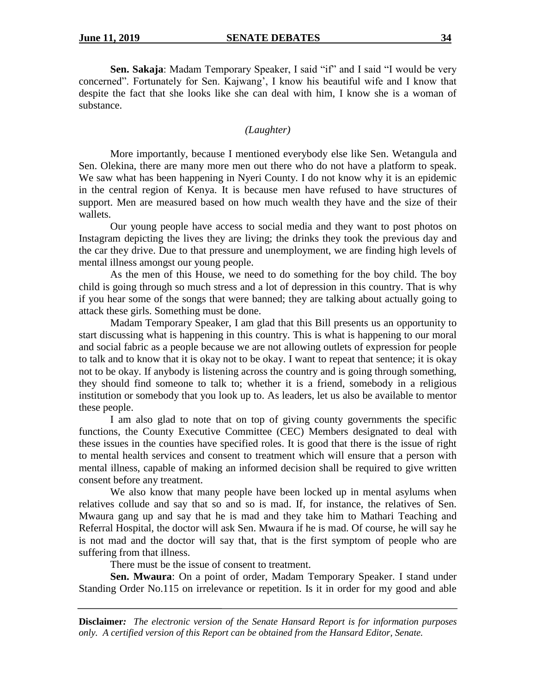**Sen. Sakaja**: Madam Temporary Speaker, I said "if" and I said "I would be very concerned". Fortunately for Sen. Kajwang', I know his beautiful wife and I know that despite the fact that she looks like she can deal with him, I know she is a woman of substance.

# *(Laughter)*

More importantly, because I mentioned everybody else like Sen. Wetangula and Sen. Olekina, there are many more men out there who do not have a platform to speak. We saw what has been happening in Nyeri County. I do not know why it is an epidemic in the central region of Kenya. It is because men have refused to have structures of support. Men are measured based on how much wealth they have and the size of their wallets.

Our young people have access to social media and they want to post photos on Instagram depicting the lives they are living; the drinks they took the previous day and the car they drive. Due to that pressure and unemployment, we are finding high levels of mental illness amongst our young people.

As the men of this House, we need to do something for the boy child. The boy child is going through so much stress and a lot of depression in this country. That is why if you hear some of the songs that were banned; they are talking about actually going to attack these girls. Something must be done.

Madam Temporary Speaker, I am glad that this Bill presents us an opportunity to start discussing what is happening in this country. This is what is happening to our moral and social fabric as a people because we are not allowing outlets of expression for people to talk and to know that it is okay not to be okay. I want to repeat that sentence; it is okay not to be okay. If anybody is listening across the country and is going through something, they should find someone to talk to; whether it is a friend, somebody in a religious institution or somebody that you look up to. As leaders, let us also be available to mentor these people.

I am also glad to note that on top of giving county governments the specific functions, the County Executive Committee (CEC) Members designated to deal with these issues in the counties have specified roles. It is good that there is the issue of right to mental health services and consent to treatment which will ensure that a person with mental illness, capable of making an informed decision shall be required to give written consent before any treatment.

We also know that many people have been locked up in mental asylums when relatives collude and say that so and so is mad. If, for instance, the relatives of Sen. Mwaura gang up and say that he is mad and they take him to Mathari Teaching and Referral Hospital, the doctor will ask Sen. Mwaura if he is mad. Of course, he will say he is not mad and the doctor will say that, that is the first symptom of people who are suffering from that illness.

There must be the issue of consent to treatment.

**Sen. Mwaura**: On a point of order, Madam Temporary Speaker. I stand under Standing Order No.115 on irrelevance or repetition. Is it in order for my good and able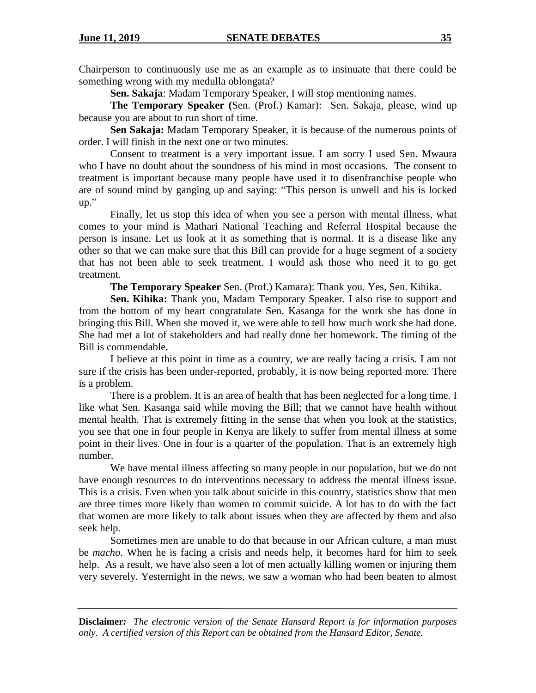Chairperson to continuously use me as an example as to insinuate that there could be something wrong with my medulla oblongata?

**Sen. Sakaja**: Madam Temporary Speaker, I will stop mentioning names.

**The Temporary Speaker (**Sen. (Prof.) Kamar): Sen. Sakaja, please, wind up because you are about to run short of time.

**Sen Sakaja:** Madam Temporary Speaker, it is because of the numerous points of order. I will finish in the next one or two minutes.

Consent to treatment is a very important issue. I am sorry I used Sen. Mwaura who I have no doubt about the soundness of his mind in most occasions.The consent to treatment is important because many people have used it to disenfranchise people who are of sound mind by ganging up and saying: "This person is unwell and his is locked up."

Finally, let us stop this idea of when you see a person with mental illness, what comes to your mind is Mathari National Teaching and Referral Hospital because the person is insane. Let us look at it as something that is normal. It is a disease like any other so that we can make sure that this Bill can provide for a huge segment of a society that has not been able to seek treatment. I would ask those who need it to go get treatment.

**The Temporary Speaker** Sen. (Prof.) Kamara): Thank you. Yes, Sen. Kihika.

**Sen. Kihika:** Thank you, Madam Temporary Speaker. I also rise to support and from the bottom of my heart congratulate Sen. Kasanga for the work she has done in bringing this Bill. When she moved it, we were able to tell how much work she had done. She had met a lot of stakeholders and had really done her homework. The timing of the Bill is commendable.

I believe at this point in time as a country, we are really facing a crisis. I am not sure if the crisis has been under-reported, probably, it is now being reported more. There is a problem.

There is a problem. It is an area of health that has been neglected for a long time. I like what Sen. Kasanga said while moving the Bill; that we cannot have health without mental health. That is extremely fitting in the sense that when you look at the statistics, you see that one in four people in Kenya are likely to suffer from mental illness at some point in their lives. One in four is a quarter of the population. That is an extremely high number.

We have mental illness affecting so many people in our population, but we do not have enough resources to do interventions necessary to address the mental illness issue. This is a crisis. Even when you talk about suicide in this country, statistics show that men are three times more likely than women to commit suicide. A lot has to do with the fact that women are more likely to talk about issues when they are affected by them and also seek help.

Sometimes men are unable to do that because in our African culture, a man must be *macho*. When he is facing a crisis and needs help, it becomes hard for him to seek help. As a result, we have also seen a lot of men actually killing women or injuring them very severely. Yesternight in the news, we saw a woman who had been beaten to almost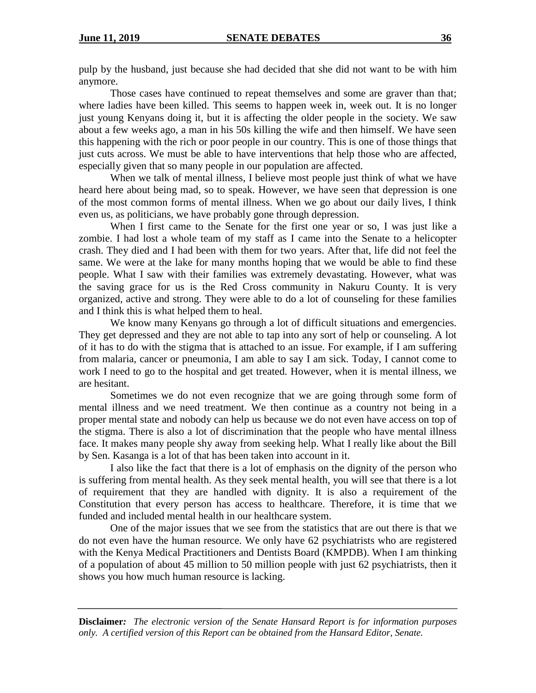pulp by the husband, just because she had decided that she did not want to be with him anymore.

Those cases have continued to repeat themselves and some are graver than that; where ladies have been killed. This seems to happen week in, week out. It is no longer just young Kenyans doing it, but it is affecting the older people in the society. We saw about a few weeks ago, a man in his 50s killing the wife and then himself. We have seen this happening with the rich or poor people in our country. This is one of those things that just cuts across. We must be able to have interventions that help those who are affected, especially given that so many people in our population are affected.

When we talk of mental illness, I believe most people just think of what we have heard here about being mad, so to speak. However, we have seen that depression is one of the most common forms of mental illness. When we go about our daily lives, I think even us, as politicians, we have probably gone through depression.

When I first came to the Senate for the first one year or so, I was just like a zombie. I had lost a whole team of my staff as I came into the Senate to a helicopter crash. They died and I had been with them for two years. After that, life did not feel the same. We were at the lake for many months hoping that we would be able to find these people. What I saw with their families was extremely devastating. However, what was the saving grace for us is the Red Cross community in Nakuru County. It is very organized, active and strong. They were able to do a lot of counseling for these families and I think this is what helped them to heal.

We know many Kenyans go through a lot of difficult situations and emergencies. They get depressed and they are not able to tap into any sort of help or counseling. A lot of it has to do with the stigma that is attached to an issue. For example, if I am suffering from malaria, cancer or pneumonia, I am able to say I am sick. Today, I cannot come to work I need to go to the hospital and get treated. However, when it is mental illness, we are hesitant.

Sometimes we do not even recognize that we are going through some form of mental illness and we need treatment. We then continue as a country not being in a proper mental state and nobody can help us because we do not even have access on top of the stigma. There is also a lot of discrimination that the people who have mental illness face. It makes many people shy away from seeking help. What I really like about the Bill by Sen. Kasanga is a lot of that has been taken into account in it.

I also like the fact that there is a lot of emphasis on the dignity of the person who is suffering from mental health. As they seek mental health, you will see that there is a lot of requirement that they are handled with dignity. It is also a requirement of the Constitution that every person has access to healthcare. Therefore, it is time that we funded and included mental health in our healthcare system.

One of the major issues that we see from the statistics that are out there is that we do not even have the human resource. We only have 62 psychiatrists who are registered with the Kenya Medical Practitioners and Dentists Board (KMPDB). When I am thinking of a population of about 45 million to 50 million people with just 62 psychiatrists, then it shows you how much human resource is lacking.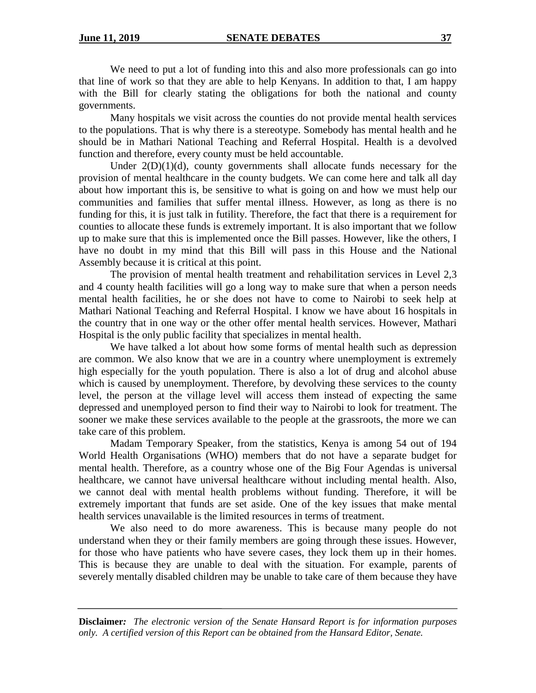We need to put a lot of funding into this and also more professionals can go into that line of work so that they are able to help Kenyans. In addition to that, I am happy with the Bill for clearly stating the obligations for both the national and county governments.

Many hospitals we visit across the counties do not provide mental health services to the populations. That is why there is a stereotype. Somebody has mental health and he should be in Mathari National Teaching and Referral Hospital. Health is a devolved function and therefore, every county must be held accountable.

Under  $2(D)(1)(d)$ , county governments shall allocate funds necessary for the provision of mental healthcare in the county budgets. We can come here and talk all day about how important this is, be sensitive to what is going on and how we must help our communities and families that suffer mental illness. However, as long as there is no funding for this, it is just talk in futility. Therefore, the fact that there is a requirement for counties to allocate these funds is extremely important. It is also important that we follow up to make sure that this is implemented once the Bill passes. However, like the others, I have no doubt in my mind that this Bill will pass in this House and the National Assembly because it is critical at this point.

The provision of mental health treatment and rehabilitation services in Level 2,3 and 4 county health facilities will go a long way to make sure that when a person needs mental health facilities, he or she does not have to come to Nairobi to seek help at Mathari National Teaching and Referral Hospital. I know we have about 16 hospitals in the country that in one way or the other offer mental health services. However, Mathari Hospital is the only public facility that specializes in mental health.

We have talked a lot about how some forms of mental health such as depression are common. We also know that we are in a country where unemployment is extremely high especially for the youth population. There is also a lot of drug and alcohol abuse which is caused by unemployment. Therefore, by devolving these services to the county level, the person at the village level will access them instead of expecting the same depressed and unemployed person to find their way to Nairobi to look for treatment. The sooner we make these services available to the people at the grassroots, the more we can take care of this problem.

Madam Temporary Speaker, from the statistics, Kenya is among 54 out of 194 World Health Organisations (WHO) members that do not have a separate budget for mental health. Therefore, as a country whose one of the Big Four Agendas is universal healthcare, we cannot have universal healthcare without including mental health. Also, we cannot deal with mental health problems without funding. Therefore, it will be extremely important that funds are set aside. One of the key issues that make mental health services unavailable is the limited resources in terms of treatment.

We also need to do more awareness. This is because many people do not understand when they or their family members are going through these issues. However, for those who have patients who have severe cases, they lock them up in their homes. This is because they are unable to deal with the situation. For example, parents of severely mentally disabled children may be unable to take care of them because they have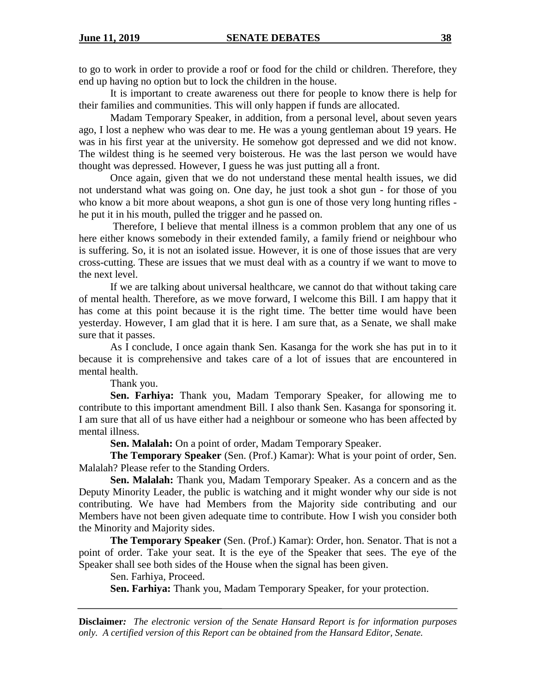to go to work in order to provide a roof or food for the child or children. Therefore, they end up having no option but to lock the children in the house.

It is important to create awareness out there for people to know there is help for their families and communities. This will only happen if funds are allocated.

Madam Temporary Speaker, in addition, from a personal level, about seven years ago, I lost a nephew who was dear to me. He was a young gentleman about 19 years. He was in his first year at the university. He somehow got depressed and we did not know. The wildest thing is he seemed very boisterous. He was the last person we would have thought was depressed. However, I guess he was just putting all a front.

Once again, given that we do not understand these mental health issues, we did not understand what was going on. One day, he just took a shot gun - for those of you who know a bit more about weapons, a shot gun is one of those very long hunting rifles he put it in his mouth, pulled the trigger and he passed on.

Therefore, I believe that mental illness is a common problem that any one of us here either knows somebody in their extended family, a family friend or neighbour who is suffering. So, it is not an isolated issue. However, it is one of those issues that are very cross-cutting. These are issues that we must deal with as a country if we want to move to the next level.

If we are talking about universal healthcare, we cannot do that without taking care of mental health. Therefore, as we move forward, I welcome this Bill. I am happy that it has come at this point because it is the right time. The better time would have been yesterday. However, I am glad that it is here. I am sure that, as a Senate, we shall make sure that it passes.

As I conclude, I once again thank Sen. Kasanga for the work she has put in to it because it is comprehensive and takes care of a lot of issues that are encountered in mental health.

Thank you.

**Sen. Farhiya:** Thank you, Madam Temporary Speaker, for allowing me to contribute to this important amendment Bill. I also thank Sen. Kasanga for sponsoring it. I am sure that all of us have either had a neighbour or someone who has been affected by mental illness.

**Sen. Malalah:** On a point of order, Madam Temporary Speaker.

**The Temporary Speaker** (Sen. (Prof.) Kamar): What is your point of order, Sen. Malalah? Please refer to the Standing Orders.

**Sen. Malalah:** Thank you, Madam Temporary Speaker. As a concern and as the Deputy Minority Leader, the public is watching and it might wonder why our side is not contributing. We have had Members from the Majority side contributing and our Members have not been given adequate time to contribute. How I wish you consider both the Minority and Majority sides.

**The Temporary Speaker** (Sen. (Prof.) Kamar): Order, hon. Senator. That is not a point of order. Take your seat. It is the eye of the Speaker that sees. The eye of the Speaker shall see both sides of the House when the signal has been given.

Sen. Farhiya, Proceed.

**Sen. Farhiya:** Thank you, Madam Temporary Speaker, for your protection.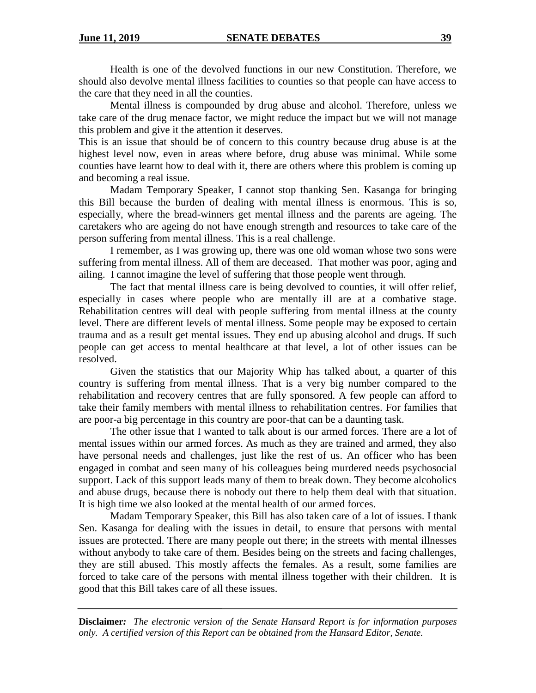Health is one of the devolved functions in our new Constitution. Therefore, we should also devolve mental illness facilities to counties so that people can have access to the care that they need in all the counties.

Mental illness is compounded by drug abuse and alcohol. Therefore, unless we take care of the drug menace factor, we might reduce the impact but we will not manage this problem and give it the attention it deserves.

This is an issue that should be of concern to this country because drug abuse is at the highest level now, even in areas where before, drug abuse was minimal. While some counties have learnt how to deal with it, there are others where this problem is coming up and becoming a real issue.

Madam Temporary Speaker, I cannot stop thanking Sen. Kasanga for bringing this Bill because the burden of dealing with mental illness is enormous. This is so, especially, where the bread-winners get mental illness and the parents are ageing. The caretakers who are ageing do not have enough strength and resources to take care of the person suffering from mental illness. This is a real challenge.

I remember, as I was growing up, there was one old woman whose two sons were suffering from mental illness. All of them are deceased. That mother was poor, aging and ailing. I cannot imagine the level of suffering that those people went through.

The fact that mental illness care is being devolved to counties, it will offer relief, especially in cases where people who are mentally ill are at a combative stage. Rehabilitation centres will deal with people suffering from mental illness at the county level. There are different levels of mental illness. Some people may be exposed to certain trauma and as a result get mental issues. They end up abusing alcohol and drugs. If such people can get access to mental healthcare at that level, a lot of other issues can be resolved.

Given the statistics that our Majority Whip has talked about, a quarter of this country is suffering from mental illness. That is a very big number compared to the rehabilitation and recovery centres that are fully sponsored. A few people can afford to take their family members with mental illness to rehabilitation centres. For families that are poor-a big percentage in this country are poor-that can be a daunting task.

The other issue that I wanted to talk about is our armed forces. There are a lot of mental issues within our armed forces. As much as they are trained and armed, they also have personal needs and challenges, just like the rest of us. An officer who has been engaged in combat and seen many of his colleagues being murdered needs psychosocial support. Lack of this support leads many of them to break down. They become alcoholics and abuse drugs, because there is nobody out there to help them deal with that situation. It is high time we also looked at the mental health of our armed forces.

Madam Temporary Speaker, this Bill has also taken care of a lot of issues. I thank Sen. Kasanga for dealing with the issues in detail, to ensure that persons with mental issues are protected. There are many people out there; in the streets with mental illnesses without anybody to take care of them. Besides being on the streets and facing challenges, they are still abused. This mostly affects the females. As a result, some families are forced to take care of the persons with mental illness together with their children. It is good that this Bill takes care of all these issues.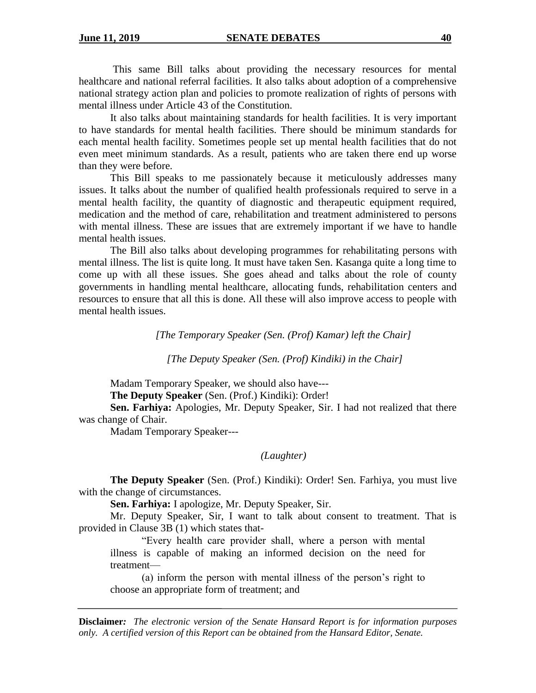This same Bill talks about providing the necessary resources for mental healthcare and national referral facilities. It also talks about adoption of a comprehensive national strategy action plan and policies to promote realization of rights of persons with mental illness under Article 43 of the Constitution.

It also talks about maintaining standards for health facilities. It is very important to have standards for mental health facilities. There should be minimum standards for each mental health facility. Sometimes people set up mental health facilities that do not even meet minimum standards. As a result, patients who are taken there end up worse than they were before.

This Bill speaks to me passionately because it meticulously addresses many issues. It talks about the number of qualified health professionals required to serve in a mental health facility, the quantity of diagnostic and therapeutic equipment required, medication and the method of care, rehabilitation and treatment administered to persons with mental illness. These are issues that are extremely important if we have to handle mental health issues.

The Bill also talks about developing programmes for rehabilitating persons with mental illness. The list is quite long. It must have taken Sen. Kasanga quite a long time to come up with all these issues. She goes ahead and talks about the role of county governments in handling mental healthcare, allocating funds, rehabilitation centers and resources to ensure that all this is done. All these will also improve access to people with mental health issues.

*[The Temporary Speaker (Sen. (Prof) Kamar) left the Chair]*

*[The Deputy Speaker (Sen. (Prof) Kindiki) in the Chair]*

Madam Temporary Speaker, we should also have---

**The Deputy Speaker** (Sen. (Prof.) Kindiki): Order!

**Sen. Farhiya:** Apologies, Mr. Deputy Speaker, Sir. I had not realized that there was change of Chair.

Madam Temporary Speaker---

*(Laughter)*

**The Deputy Speaker** (Sen. (Prof.) Kindiki): Order! Sen. Farhiya, you must live with the change of circumstances.

**Sen. Farhiya:** I apologize, Mr. Deputy Speaker, Sir.

Mr. Deputy Speaker, Sir, I want to talk about consent to treatment. That is provided in Clause 3B (1) which states that-

"Every health care provider shall, where a person with mental illness is capable of making an informed decision on the need for treatment—

(a) inform the person with mental illness of the person's right to choose an appropriate form of treatment; and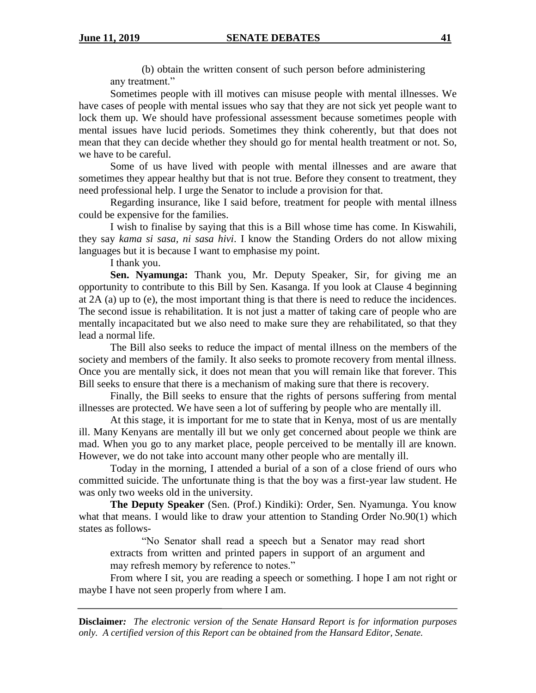(b) obtain the written consent of such person before administering any treatment."

Sometimes people with ill motives can misuse people with mental illnesses. We have cases of people with mental issues who say that they are not sick yet people want to lock them up. We should have professional assessment because sometimes people with mental issues have lucid periods. Sometimes they think coherently, but that does not mean that they can decide whether they should go for mental health treatment or not. So, we have to be careful.

Some of us have lived with people with mental illnesses and are aware that sometimes they appear healthy but that is not true. Before they consent to treatment, they need professional help. I urge the Senator to include a provision for that.

Regarding insurance, like I said before, treatment for people with mental illness could be expensive for the families.

I wish to finalise by saying that this is a Bill whose time has come. In Kiswahili, they say *kama si sasa, ni sasa hivi*. I know the Standing Orders do not allow mixing languages but it is because I want to emphasise my point.

I thank you.

**Sen. Nyamunga:** Thank you, Mr. Deputy Speaker, Sir, for giving me an opportunity to contribute to this Bill by Sen. Kasanga. If you look at Clause 4 beginning at 2A (a) up to (e), the most important thing is that there is need to reduce the incidences. The second issue is rehabilitation. It is not just a matter of taking care of people who are mentally incapacitated but we also need to make sure they are rehabilitated, so that they lead a normal life.

The Bill also seeks to reduce the impact of mental illness on the members of the society and members of the family. It also seeks to promote recovery from mental illness. Once you are mentally sick, it does not mean that you will remain like that forever. This Bill seeks to ensure that there is a mechanism of making sure that there is recovery.

Finally, the Bill seeks to ensure that the rights of persons suffering from mental illnesses are protected. We have seen a lot of suffering by people who are mentally ill.

At this stage, it is important for me to state that in Kenya, most of us are mentally ill. Many Kenyans are mentally ill but we only get concerned about people we think are mad. When you go to any market place, people perceived to be mentally ill are known. However, we do not take into account many other people who are mentally ill.

Today in the morning, I attended a burial of a son of a close friend of ours who committed suicide. The unfortunate thing is that the boy was a first-year law student. He was only two weeks old in the university.

**The Deputy Speaker** (Sen. (Prof.) Kindiki): Order, Sen. Nyamunga. You know what that means. I would like to draw your attention to Standing Order No.90(1) which states as follows-

"No Senator shall read a speech but a Senator may read short extracts from written and printed papers in support of an argument and may refresh memory by reference to notes."

From where I sit, you are reading a speech or something. I hope I am not right or maybe I have not seen properly from where I am.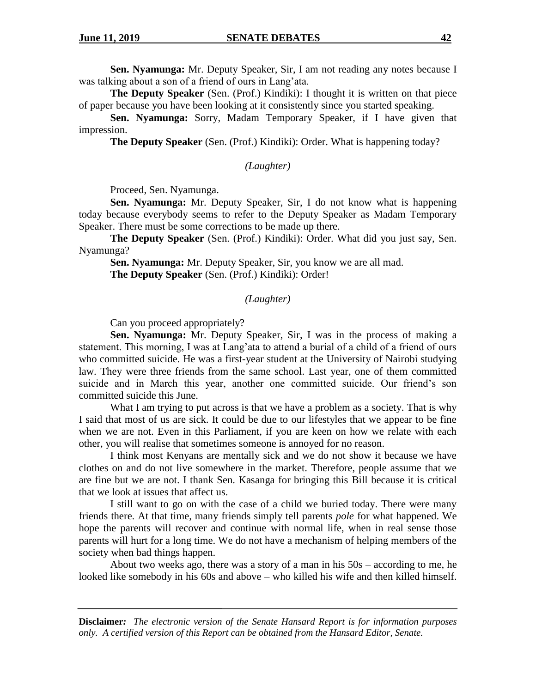**Sen. Nyamunga:** Mr. Deputy Speaker, Sir, I am not reading any notes because I was talking about a son of a friend of ours in Lang'ata.

**The Deputy Speaker** (Sen. (Prof.) Kindiki): I thought it is written on that piece of paper because you have been looking at it consistently since you started speaking.

**Sen. Nyamunga:** Sorry, Madam Temporary Speaker, if I have given that impression.

**The Deputy Speaker** (Sen. (Prof.) Kindiki): Order. What is happening today?

*(Laughter)*

Proceed, Sen. Nyamunga.

**Sen. Nyamunga:** Mr. Deputy Speaker, Sir, I do not know what is happening today because everybody seems to refer to the Deputy Speaker as Madam Temporary Speaker. There must be some corrections to be made up there.

**The Deputy Speaker** (Sen. (Prof.) Kindiki): Order. What did you just say, Sen. Nyamunga?

**Sen. Nyamunga:** Mr. Deputy Speaker, Sir, you know we are all mad. **The Deputy Speaker** (Sen. (Prof.) Kindiki): Order!

*(Laughter)*

Can you proceed appropriately?

**Sen. Nyamunga:** Mr. Deputy Speaker, Sir, I was in the process of making a statement. This morning, I was at Lang'ata to attend a burial of a child of a friend of ours who committed suicide. He was a first-year student at the University of Nairobi studying law. They were three friends from the same school. Last year, one of them committed suicide and in March this year, another one committed suicide. Our friend's son committed suicide this June.

What I am trying to put across is that we have a problem as a society. That is why I said that most of us are sick. It could be due to our lifestyles that we appear to be fine when we are not. Even in this Parliament, if you are keen on how we relate with each other, you will realise that sometimes someone is annoyed for no reason.

I think most Kenyans are mentally sick and we do not show it because we have clothes on and do not live somewhere in the market. Therefore, people assume that we are fine but we are not. I thank Sen. Kasanga for bringing this Bill because it is critical that we look at issues that affect us.

I still want to go on with the case of a child we buried today. There were many friends there. At that time, many friends simply tell parents *pole* for what happened. We hope the parents will recover and continue with normal life, when in real sense those parents will hurt for a long time. We do not have a mechanism of helping members of the society when bad things happen.

About two weeks ago, there was a story of a man in his 50s – according to me, he looked like somebody in his 60s and above – who killed his wife and then killed himself.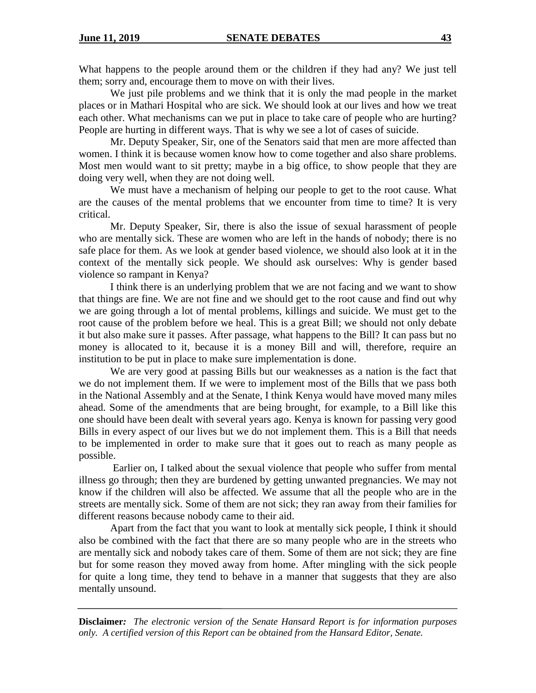What happens to the people around them or the children if they had any? We just tell them; sorry and, encourage them to move on with their lives.

We just pile problems and we think that it is only the mad people in the market places or in Mathari Hospital who are sick. We should look at our lives and how we treat each other. What mechanisms can we put in place to take care of people who are hurting? People are hurting in different ways. That is why we see a lot of cases of suicide.

Mr. Deputy Speaker, Sir, one of the Senators said that men are more affected than women. I think it is because women know how to come together and also share problems. Most men would want to sit pretty; maybe in a big office, to show people that they are doing very well, when they are not doing well.

We must have a mechanism of helping our people to get to the root cause. What are the causes of the mental problems that we encounter from time to time? It is very critical.

Mr. Deputy Speaker, Sir, there is also the issue of sexual harassment of people who are mentally sick. These are women who are left in the hands of nobody; there is no safe place for them. As we look at gender based violence, we should also look at it in the context of the mentally sick people. We should ask ourselves: Why is gender based violence so rampant in Kenya?

I think there is an underlying problem that we are not facing and we want to show that things are fine. We are not fine and we should get to the root cause and find out why we are going through a lot of mental problems, killings and suicide. We must get to the root cause of the problem before we heal. This is a great Bill; we should not only debate it but also make sure it passes. After passage, what happens to the Bill? It can pass but no money is allocated to it, because it is a money Bill and will, therefore, require an institution to be put in place to make sure implementation is done.

We are very good at passing Bills but our weaknesses as a nation is the fact that we do not implement them. If we were to implement most of the Bills that we pass both in the National Assembly and at the Senate, I think Kenya would have moved many miles ahead. Some of the amendments that are being brought, for example, to a Bill like this one should have been dealt with several years ago. Kenya is known for passing very good Bills in every aspect of our lives but we do not implement them. This is a Bill that needs to be implemented in order to make sure that it goes out to reach as many people as possible.

Earlier on, I talked about the sexual violence that people who suffer from mental illness go through; then they are burdened by getting unwanted pregnancies. We may not know if the children will also be affected. We assume that all the people who are in the streets are mentally sick. Some of them are not sick; they ran away from their families for different reasons because nobody came to their aid.

Apart from the fact that you want to look at mentally sick people, I think it should also be combined with the fact that there are so many people who are in the streets who are mentally sick and nobody takes care of them. Some of them are not sick; they are fine but for some reason they moved away from home. After mingling with the sick people for quite a long time, they tend to behave in a manner that suggests that they are also mentally unsound.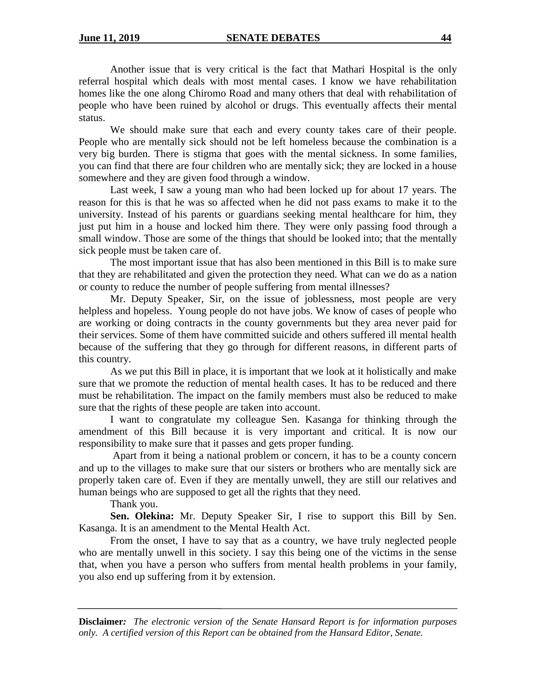Another issue that is very critical is the fact that Mathari Hospital is the only referral hospital which deals with most mental cases. I know we have rehabilitation homes like the one along Chiromo Road and many others that deal with rehabilitation of people who have been ruined by alcohol or drugs. This eventually affects their mental status.

We should make sure that each and every county takes care of their people. People who are mentally sick should not be left homeless because the combination is a very big burden. There is stigma that goes with the mental sickness. In some families, you can find that there are four children who are mentally sick; they are locked in a house somewhere and they are given food through a window.

Last week, I saw a young man who had been locked up for about 17 years. The reason for this is that he was so affected when he did not pass exams to make it to the university. Instead of his parents or guardians seeking mental healthcare for him, they just put him in a house and locked him there. They were only passing food through a small window. Those are some of the things that should be looked into; that the mentally sick people must be taken care of.

The most important issue that has also been mentioned in this Bill is to make sure that they are rehabilitated and given the protection they need. What can we do as a nation or county to reduce the number of people suffering from mental illnesses?

Mr. Deputy Speaker, Sir, on the issue of joblessness, most people are very helpless and hopeless. Young people do not have jobs. We know of cases of people who are working or doing contracts in the county governments but they area never paid for their services. Some of them have committed suicide and others suffered ill mental health because of the suffering that they go through for different reasons, in different parts of this country.

As we put this Bill in place, it is important that we look at it holistically and make sure that we promote the reduction of mental health cases. It has to be reduced and there must be rehabilitation. The impact on the family members must also be reduced to make sure that the rights of these people are taken into account.

I want to congratulate my colleague Sen. Kasanga for thinking through the amendment of this Bill because it is very important and critical. It is now our responsibility to make sure that it passes and gets proper funding.

Apart from it being a national problem or concern, it has to be a county concern and up to the villages to make sure that our sisters or brothers who are mentally sick are properly taken care of. Even if they are mentally unwell, they are still our relatives and human beings who are supposed to get all the rights that they need.

Thank you.

**Sen. Olekina:** Mr. Deputy Speaker Sir, I rise to support this Bill by Sen. Kasanga. It is an amendment to the Mental Health Act.

From the onset, I have to say that as a country, we have truly neglected people who are mentally unwell in this society. I say this being one of the victims in the sense that, when you have a person who suffers from mental health problems in your family, you also end up suffering from it by extension.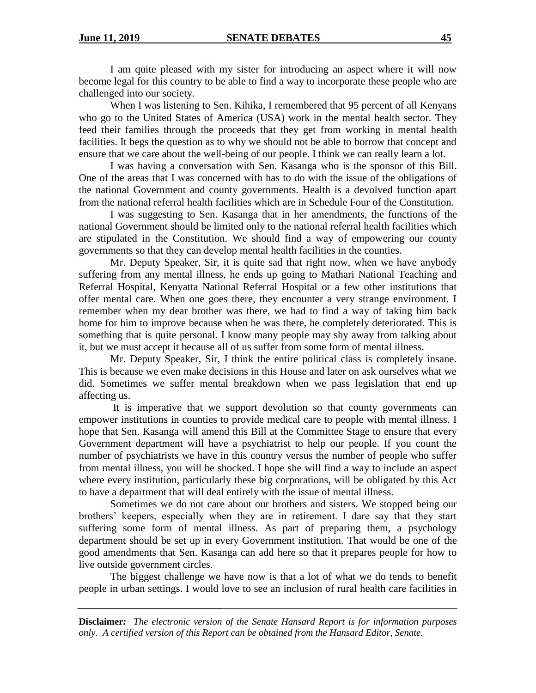I am quite pleased with my sister for introducing an aspect where it will now become legal for this country to be able to find a way to incorporate these people who are challenged into our society.

When I was listening to Sen. Kihika, I remembered that 95 percent of all Kenyans who go to the United States of America (USA) work in the mental health sector. They feed their families through the proceeds that they get from working in mental health facilities. It begs the question as to why we should not be able to borrow that concept and ensure that we care about the well-being of our people. I think we can really learn a lot.

I was having a conversation with Sen. Kasanga who is the sponsor of this Bill. One of the areas that I was concerned with has to do with the issue of the obligations of the national Government and county governments. Health is a devolved function apart from the national referral health facilities which are in Schedule Four of the Constitution.

I was suggesting to Sen. Kasanga that in her amendments, the functions of the national Government should be limited only to the national referral health facilities which are stipulated in the Constitution. We should find a way of empowering our county governments so that they can develop mental health facilities in the counties.

Mr. Deputy Speaker, Sir, it is quite sad that right now, when we have anybody suffering from any mental illness, he ends up going to Mathari National Teaching and Referral Hospital, Kenyatta National Referral Hospital or a few other institutions that offer mental care. When one goes there, they encounter a very strange environment. I remember when my dear brother was there, we had to find a way of taking him back home for him to improve because when he was there, he completely deteriorated. This is something that is quite personal. I know many people may shy away from talking about it, but we must accept it because all of us suffer from some form of mental illness.

Mr. Deputy Speaker, Sir, I think the entire political class is completely insane. This is because we even make decisions in this House and later on ask ourselves what we did. Sometimes we suffer mental breakdown when we pass legislation that end up affecting us.

It is imperative that we support devolution so that county governments can empower institutions in counties to provide medical care to people with mental illness. I hope that Sen. Kasanga will amend this Bill at the Committee Stage to ensure that every Government department will have a psychiatrist to help our people. If you count the number of psychiatrists we have in this country versus the number of people who suffer from mental illness, you will be shocked. I hope she will find a way to include an aspect where every institution, particularly these big corporations, will be obligated by this Act to have a department that will deal entirely with the issue of mental illness.

Sometimes we do not care about our brothers and sisters. We stopped being our brothers' keepers, especially when they are in retirement. I dare say that they start suffering some form of mental illness. As part of preparing them, a psychology department should be set up in every Government institution. That would be one of the good amendments that Sen. Kasanga can add here so that it prepares people for how to live outside government circles.

The biggest challenge we have now is that a lot of what we do tends to benefit people in urban settings. I would love to see an inclusion of rural health care facilities in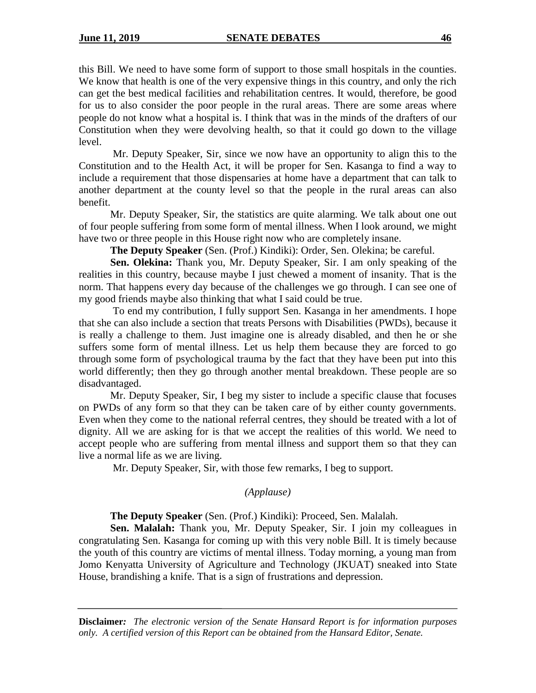this Bill. We need to have some form of support to those small hospitals in the counties. We know that health is one of the very expensive things in this country, and only the rich can get the best medical facilities and rehabilitation centres. It would, therefore, be good for us to also consider the poor people in the rural areas. There are some areas where people do not know what a hospital is. I think that was in the minds of the drafters of our Constitution when they were devolving health, so that it could go down to the village level.

Mr. Deputy Speaker, Sir, since we now have an opportunity to align this to the Constitution and to the Health Act, it will be proper for Sen. Kasanga to find a way to include a requirement that those dispensaries at home have a department that can talk to another department at the county level so that the people in the rural areas can also benefit.

Mr. Deputy Speaker, Sir, the statistics are quite alarming. We talk about one out of four people suffering from some form of mental illness. When I look around, we might have two or three people in this House right now who are completely insane.

**The Deputy Speaker** (Sen. (Prof.) Kindiki): Order, Sen. Olekina; be careful.

**Sen. Olekina:** Thank you, Mr. Deputy Speaker, Sir. I am only speaking of the realities in this country, because maybe I just chewed a moment of insanity. That is the norm. That happens every day because of the challenges we go through. I can see one of my good friends maybe also thinking that what I said could be true.

To end my contribution, I fully support Sen. Kasanga in her amendments. I hope that she can also include a section that treats Persons with Disabilities (PWDs), because it is really a challenge to them. Just imagine one is already disabled, and then he or she suffers some form of mental illness. Let us help them because they are forced to go through some form of psychological trauma by the fact that they have been put into this world differently; then they go through another mental breakdown. These people are so disadvantaged.

Mr. Deputy Speaker, Sir, I beg my sister to include a specific clause that focuses on PWDs of any form so that they can be taken care of by either county governments. Even when they come to the national referral centres, they should be treated with a lot of dignity. All we are asking for is that we accept the realities of this world. We need to accept people who are suffering from mental illness and support them so that they can live a normal life as we are living.

Mr. Deputy Speaker, Sir, with those few remarks, I beg to support.

## *(Applause)*

**The Deputy Speaker** (Sen. (Prof.) Kindiki): Proceed, Sen. Malalah.

**Sen. Malalah:** Thank you, Mr. Deputy Speaker, Sir. I join my colleagues in congratulating Sen. Kasanga for coming up with this very noble Bill. It is timely because the youth of this country are victims of mental illness. Today morning, a young man from Jomo Kenyatta University of Agriculture and Technology (JKUAT) sneaked into State House, brandishing a knife. That is a sign of frustrations and depression.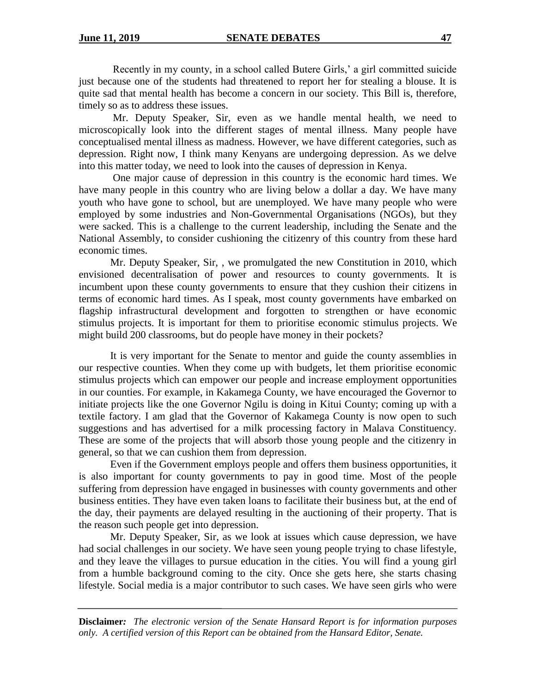Recently in my county, in a school called Butere Girls,' a girl committed suicide just because one of the students had threatened to report her for stealing a blouse. It is quite sad that mental health has become a concern in our society. This Bill is, therefore, timely so as to address these issues.

Mr. Deputy Speaker, Sir, even as we handle mental health, we need to microscopically look into the different stages of mental illness. Many people have conceptualised mental illness as madness. However, we have different categories, such as depression. Right now, I think many Kenyans are undergoing depression. As we delve into this matter today, we need to look into the causes of depression in Kenya.

One major cause of depression in this country is the economic hard times. We have many people in this country who are living below a dollar a day. We have many youth who have gone to school, but are unemployed. We have many people who were employed by some industries and Non-Governmental Organisations (NGOs), but they were sacked. This is a challenge to the current leadership, including the Senate and the National Assembly, to consider cushioning the citizenry of this country from these hard economic times.

Mr. Deputy Speaker, Sir, , we promulgated the new Constitution in 2010, which envisioned decentralisation of power and resources to county governments. It is incumbent upon these county governments to ensure that they cushion their citizens in terms of economic hard times. As I speak, most county governments have embarked on flagship infrastructural development and forgotten to strengthen or have economic stimulus projects. It is important for them to prioritise economic stimulus projects. We might build 200 classrooms, but do people have money in their pockets?

It is very important for the Senate to mentor and guide the county assemblies in our respective counties. When they come up with budgets, let them prioritise economic stimulus projects which can empower our people and increase employment opportunities in our counties. For example, in Kakamega County, we have encouraged the Governor to initiate projects like the one Governor Ngilu is doing in Kitui County; coming up with a textile factory. I am glad that the Governor of Kakamega County is now open to such suggestions and has advertised for a milk processing factory in Malava Constituency. These are some of the projects that will absorb those young people and the citizenry in general, so that we can cushion them from depression.

Even if the Government employs people and offers them business opportunities, it is also important for county governments to pay in good time. Most of the people suffering from depression have engaged in businesses with county governments and other business entities. They have even taken loans to facilitate their business but, at the end of the day, their payments are delayed resulting in the auctioning of their property. That is the reason such people get into depression.

Mr. Deputy Speaker, Sir, as we look at issues which cause depression, we have had social challenges in our society. We have seen young people trying to chase lifestyle, and they leave the villages to pursue education in the cities. You will find a young girl from a humble background coming to the city. Once she gets here, she starts chasing lifestyle. Social media is a major contributor to such cases. We have seen girls who were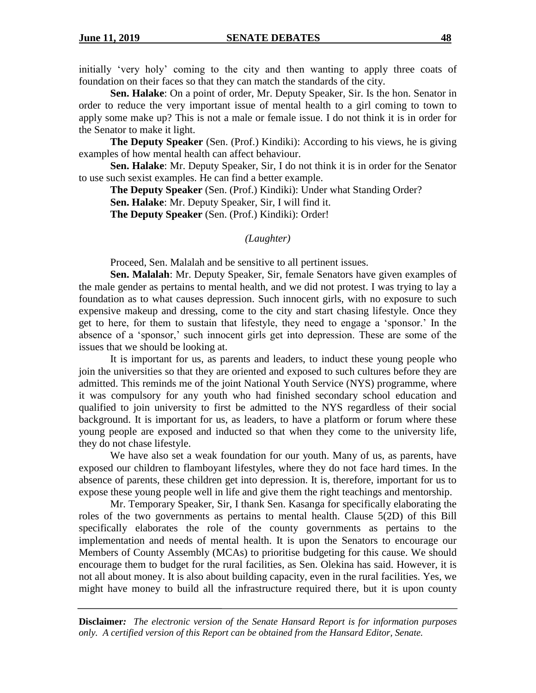initially 'very holy' coming to the city and then wanting to apply three coats of foundation on their faces so that they can match the standards of the city.

**Sen. Halake**: On a point of order, Mr. Deputy Speaker, Sir. Is the hon. Senator in order to reduce the very important issue of mental health to a girl coming to town to apply some make up? This is not a male or female issue. I do not think it is in order for the Senator to make it light.

**The Deputy Speaker** (Sen. (Prof.) Kindiki): According to his views, he is giving examples of how mental health can affect behaviour.

**Sen. Halake**: Mr. Deputy Speaker, Sir, I do not think it is in order for the Senator to use such sexist examples. He can find a better example.

**The Deputy Speaker** (Sen. (Prof.) Kindiki): Under what Standing Order?

**Sen. Halake**: Mr. Deputy Speaker, Sir, I will find it.

**The Deputy Speaker** (Sen. (Prof.) Kindiki): Order!

## *(Laughter)*

Proceed, Sen. Malalah and be sensitive to all pertinent issues.

**Sen. Malalah**: Mr. Deputy Speaker, Sir, female Senators have given examples of the male gender as pertains to mental health, and we did not protest. I was trying to lay a foundation as to what causes depression. Such innocent girls, with no exposure to such expensive makeup and dressing, come to the city and start chasing lifestyle. Once they get to here, for them to sustain that lifestyle, they need to engage a 'sponsor.' In the absence of a 'sponsor,' such innocent girls get into depression. These are some of the issues that we should be looking at.

It is important for us, as parents and leaders, to induct these young people who join the universities so that they are oriented and exposed to such cultures before they are admitted. This reminds me of the joint National Youth Service (NYS) programme, where it was compulsory for any youth who had finished secondary school education and qualified to join university to first be admitted to the NYS regardless of their social background. It is important for us, as leaders, to have a platform or forum where these young people are exposed and inducted so that when they come to the university life, they do not chase lifestyle.

We have also set a weak foundation for our youth. Many of us, as parents, have exposed our children to flamboyant lifestyles, where they do not face hard times. In the absence of parents, these children get into depression. It is, therefore, important for us to expose these young people well in life and give them the right teachings and mentorship.

Mr. Temporary Speaker, Sir, I thank Sen. Kasanga for specifically elaborating the roles of the two governments as pertains to mental health. Clause 5(2D) of this Bill specifically elaborates the role of the county governments as pertains to the implementation and needs of mental health. It is upon the Senators to encourage our Members of County Assembly (MCAs) to prioritise budgeting for this cause. We should encourage them to budget for the rural facilities, as Sen. Olekina has said. However, it is not all about money. It is also about building capacity, even in the rural facilities. Yes, we might have money to build all the infrastructure required there, but it is upon county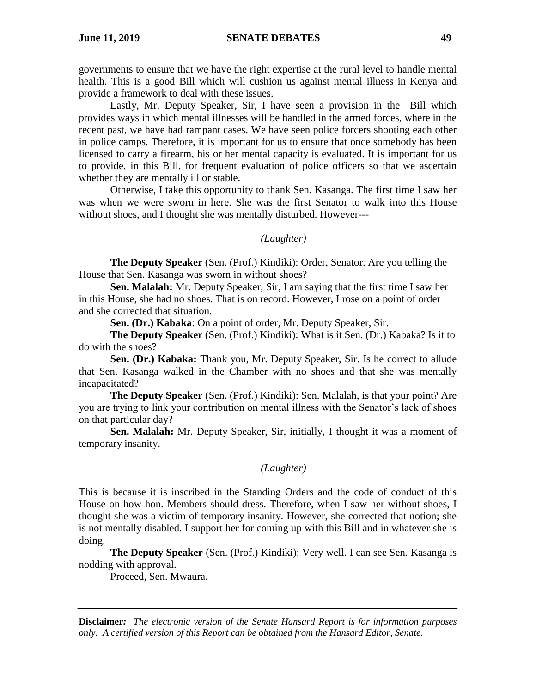governments to ensure that we have the right expertise at the rural level to handle mental health. This is a good Bill which will cushion us against mental illness in Kenya and provide a framework to deal with these issues.

Lastly, Mr. Deputy Speaker, Sir, I have seen a provision in the Bill which provides ways in which mental illnesses will be handled in the armed forces, where in the recent past, we have had rampant cases. We have seen police forcers shooting each other in police camps. Therefore, it is important for us to ensure that once somebody has been licensed to carry a firearm, his or her mental capacity is evaluated. It is important for us to provide, in this Bill, for frequent evaluation of police officers so that we ascertain whether they are mentally ill or stable.

Otherwise, I take this opportunity to thank Sen. Kasanga. The first time I saw her was when we were sworn in here. She was the first Senator to walk into this House without shoes, and I thought she was mentally disturbed. However---

### *(Laughter)*

**The Deputy Speaker** (Sen. (Prof.) Kindiki): Order, Senator. Are you telling the House that Sen. Kasanga was sworn in without shoes?

**Sen. Malalah:** Mr. Deputy Speaker, Sir, I am saying that the first time I saw her in this House, she had no shoes. That is on record. However, I rose on a point of order and she corrected that situation.

**Sen. (Dr.) Kabaka**: On a point of order, Mr. Deputy Speaker, Sir.

**The Deputy Speaker** (Sen. (Prof.) Kindiki): What is it Sen. (Dr.) Kabaka? Is it to do with the shoes?

**Sen. (Dr.) Kabaka:** Thank you, Mr. Deputy Speaker, Sir. Is he correct to allude that Sen. Kasanga walked in the Chamber with no shoes and that she was mentally incapacitated?

**The Deputy Speaker** (Sen. (Prof.) Kindiki): Sen. Malalah, is that your point? Are you are trying to link your contribution on mental illness with the Senator's lack of shoes on that particular day?

**Sen. Malalah:** Mr. Deputy Speaker, Sir, initially, I thought it was a moment of temporary insanity.

# *(Laughter)*

This is because it is inscribed in the Standing Orders and the code of conduct of this House on how hon. Members should dress. Therefore, when I saw her without shoes, I thought she was a victim of temporary insanity. However, she corrected that notion; she is not mentally disabled. I support her for coming up with this Bill and in whatever she is doing.

**The Deputy Speaker** (Sen. (Prof.) Kindiki): Very well. I can see Sen. Kasanga is nodding with approval.

Proceed, Sen. Mwaura.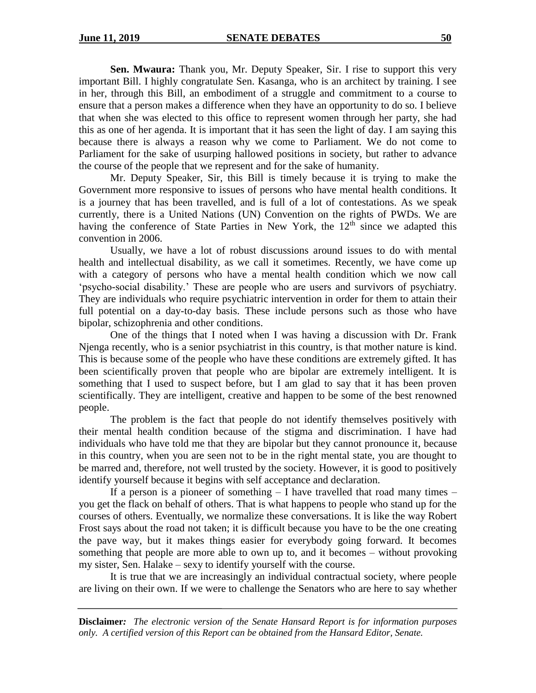**Sen. Mwaura:** Thank you, Mr. Deputy Speaker, Sir. I rise to support this very important Bill. I highly congratulate Sen. Kasanga, who is an architect by training. I see in her, through this Bill, an embodiment of a struggle and commitment to a course to ensure that a person makes a difference when they have an opportunity to do so. I believe that when she was elected to this office to represent women through her party, she had this as one of her agenda. It is important that it has seen the light of day. I am saying this because there is always a reason why we come to Parliament. We do not come to Parliament for the sake of usurping hallowed positions in society, but rather to advance the course of the people that we represent and for the sake of humanity.

Mr. Deputy Speaker, Sir, this Bill is timely because it is trying to make the Government more responsive to issues of persons who have mental health conditions. It is a journey that has been travelled, and is full of a lot of contestations. As we speak currently, there is a United Nations (UN) Convention on the rights of PWDs. We are having the conference of State Parties in New York, the  $12<sup>th</sup>$  since we adapted this convention in 2006.

Usually, we have a lot of robust discussions around issues to do with mental health and intellectual disability, as we call it sometimes. Recently, we have come up with a category of persons who have a mental health condition which we now call 'psycho-social disability.' These are people who are users and survivors of psychiatry. They are individuals who require psychiatric intervention in order for them to attain their full potential on a day-to-day basis. These include persons such as those who have bipolar, schizophrenia and other conditions.

One of the things that I noted when I was having a discussion with Dr. Frank Njenga recently, who is a senior psychiatrist in this country, is that mother nature is kind. This is because some of the people who have these conditions are extremely gifted. It has been scientifically proven that people who are bipolar are extremely intelligent. It is something that I used to suspect before, but I am glad to say that it has been proven scientifically. They are intelligent, creative and happen to be some of the best renowned people.

The problem is the fact that people do not identify themselves positively with their mental health condition because of the stigma and discrimination. I have had individuals who have told me that they are bipolar but they cannot pronounce it, because in this country, when you are seen not to be in the right mental state, you are thought to be marred and, therefore, not well trusted by the society. However, it is good to positively identify yourself because it begins with self acceptance and declaration.

If a person is a pioneer of something  $-$  I have travelled that road many times  $$ you get the flack on behalf of others. That is what happens to people who stand up for the courses of others. Eventually, we normalize these conversations. It is like the way Robert Frost says about the road not taken; it is difficult because you have to be the one creating the pave way, but it makes things easier for everybody going forward. It becomes something that people are more able to own up to, and it becomes – without provoking my sister, Sen. Halake – sexy to identify yourself with the course.

It is true that we are increasingly an individual contractual society, where people are living on their own. If we were to challenge the Senators who are here to say whether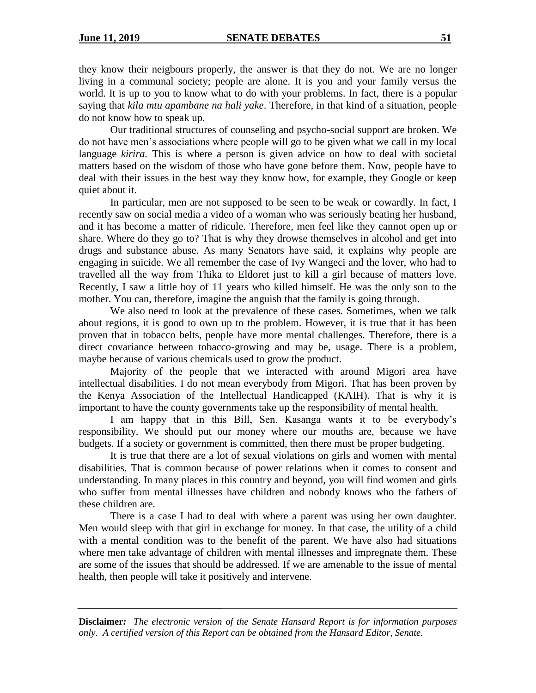they know their neigbours properly, the answer is that they do not. We are no longer living in a communal society; people are alone. It is you and your family versus the world. It is up to you to know what to do with your problems. In fact, there is a popular saying that *kila mtu apambane na hali yake*. Therefore, in that kind of a situation, people do not know how to speak up.

Our traditional structures of counseling and psycho-social support are broken. We do not have men's associations where people will go to be given what we call in my local language *kirira.* This is where a person is given advice on how to deal with societal matters based on the wisdom of those who have gone before them. Now, people have to deal with their issues in the best way they know how, for example, they Google or keep quiet about it.

In particular, men are not supposed to be seen to be weak or cowardly. In fact, I recently saw on social media a video of a woman who was seriously beating her husband, and it has become a matter of ridicule. Therefore, men feel like they cannot open up or share. Where do they go to? That is why they drowse themselves in alcohol and get into drugs and substance abuse. As many Senators have said, it explains why people are engaging in suicide. We all remember the case of Ivy Wangeci and the lover, who had to travelled all the way from Thika to Eldoret just to kill a girl because of matters love. Recently, I saw a little boy of 11 years who killed himself. He was the only son to the mother. You can, therefore, imagine the anguish that the family is going through.

We also need to look at the prevalence of these cases. Sometimes, when we talk about regions, it is good to own up to the problem. However, it is true that it has been proven that in tobacco belts, people have more mental challenges. Therefore, there is a direct covariance between tobacco-growing and may be, usage. There is a problem, maybe because of various chemicals used to grow the product.

Majority of the people that we interacted with around Migori area have intellectual disabilities. I do not mean everybody from Migori. That has been proven by the Kenya Association of the Intellectual Handicapped (KAIH). That is why it is important to have the county governments take up the responsibility of mental health.

I am happy that in this Bill, Sen. Kasanga wants it to be everybody's responsibility. We should put our money where our mouths are, because we have budgets. If a society or government is committed, then there must be proper budgeting.

It is true that there are a lot of sexual violations on girls and women with mental disabilities. That is common because of power relations when it comes to consent and understanding. In many places in this country and beyond, you will find women and girls who suffer from mental illnesses have children and nobody knows who the fathers of these children are.

There is a case I had to deal with where a parent was using her own daughter. Men would sleep with that girl in exchange for money. In that case, the utility of a child with a mental condition was to the benefit of the parent. We have also had situations where men take advantage of children with mental illnesses and impregnate them. These are some of the issues that should be addressed. If we are amenable to the issue of mental health, then people will take it positively and intervene.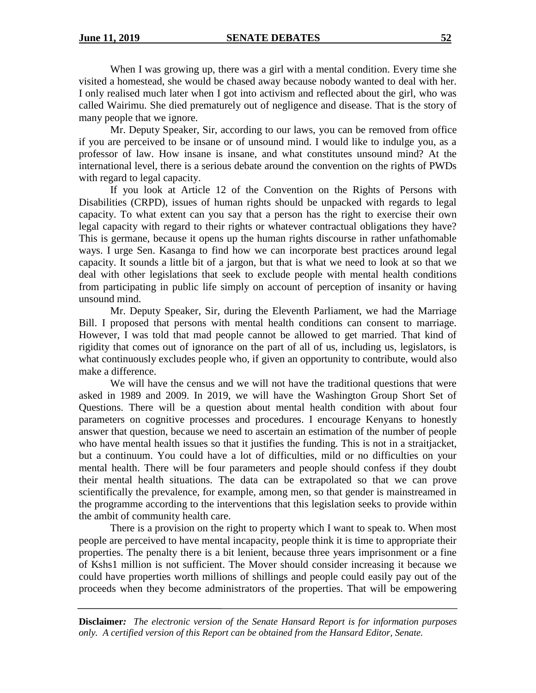When I was growing up, there was a girl with a mental condition. Every time she visited a homestead, she would be chased away because nobody wanted to deal with her. I only realised much later when I got into activism and reflected about the girl, who was called Wairimu. She died prematurely out of negligence and disease. That is the story of many people that we ignore.

Mr. Deputy Speaker, Sir, according to our laws, you can be removed from office if you are perceived to be insane or of unsound mind. I would like to indulge you, as a professor of law. How insane is insane, and what constitutes unsound mind? At the international level, there is a serious debate around the convention on the rights of PWDs with regard to legal capacity.

If you look at Article 12 of the Convention on the Rights of Persons with Disabilities (CRPD), issues of human rights should be unpacked with regards to legal capacity. To what extent can you say that a person has the right to exercise their own legal capacity with regard to their rights or whatever contractual obligations they have? This is germane, because it opens up the human rights discourse in rather unfathomable ways. I urge Sen. Kasanga to find how we can incorporate best practices around legal capacity. It sounds a little bit of a jargon, but that is what we need to look at so that we deal with other legislations that seek to exclude people with mental health conditions from participating in public life simply on account of perception of insanity or having unsound mind.

Mr. Deputy Speaker, Sir, during the Eleventh Parliament, we had the Marriage Bill. I proposed that persons with mental health conditions can consent to marriage. However, I was told that mad people cannot be allowed to get married. That kind of rigidity that comes out of ignorance on the part of all of us, including us, legislators, is what continuously excludes people who, if given an opportunity to contribute, would also make a difference.

We will have the census and we will not have the traditional questions that were asked in 1989 and 2009. In 2019, we will have the Washington Group Short Set of Questions. There will be a question about mental health condition with about four parameters on cognitive processes and procedures. I encourage Kenyans to honestly answer that question, because we need to ascertain an estimation of the number of people who have mental health issues so that it justifies the funding. This is not in a straitjacket, but a continuum. You could have a lot of difficulties, mild or no difficulties on your mental health. There will be four parameters and people should confess if they doubt their mental health situations. The data can be extrapolated so that we can prove scientifically the prevalence, for example, among men, so that gender is mainstreamed in the programme according to the interventions that this legislation seeks to provide within the ambit of community health care.

There is a provision on the right to property which I want to speak to. When most people are perceived to have mental incapacity, people think it is time to appropriate their properties. The penalty there is a bit lenient, because three years imprisonment or a fine of Kshs1 million is not sufficient. The Mover should consider increasing it because we could have properties worth millions of shillings and people could easily pay out of the proceeds when they become administrators of the properties. That will be empowering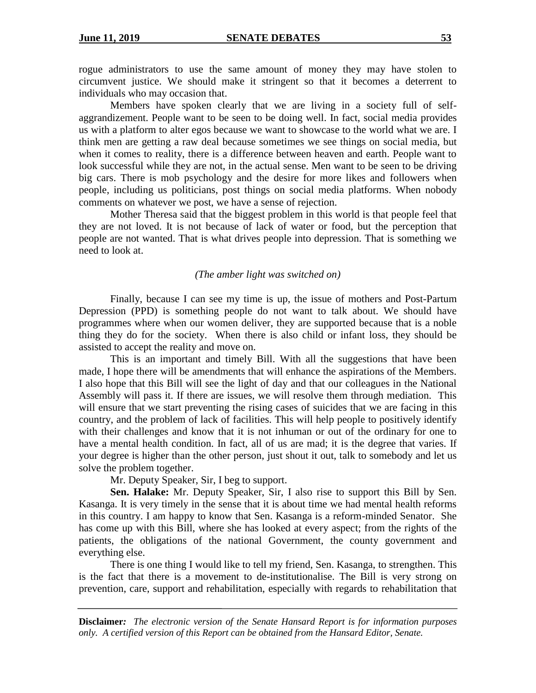rogue administrators to use the same amount of money they may have stolen to circumvent justice. We should make it stringent so that it becomes a deterrent to individuals who may occasion that.

Members have spoken clearly that we are living in a society full of selfaggrandizement. People want to be seen to be doing well. In fact, social media provides us with a platform to alter egos because we want to showcase to the world what we are. I think men are getting a raw deal because sometimes we see things on social media, but when it comes to reality, there is a difference between heaven and earth. People want to look successful while they are not, in the actual sense. Men want to be seen to be driving big cars. There is mob psychology and the desire for more likes and followers when people, including us politicians, post things on social media platforms. When nobody comments on whatever we post, we have a sense of rejection.

Mother Theresa said that the biggest problem in this world is that people feel that they are not loved. It is not because of lack of water or food, but the perception that people are not wanted. That is what drives people into depression. That is something we need to look at.

#### *(The amber light was switched on)*

Finally, because I can see my time is up, the issue of mothers and Post-Partum Depression (PPD) is something people do not want to talk about. We should have programmes where when our women deliver, they are supported because that is a noble thing they do for the society. When there is also child or infant loss, they should be assisted to accept the reality and move on.

This is an important and timely Bill. With all the suggestions that have been made, I hope there will be amendments that will enhance the aspirations of the Members. I also hope that this Bill will see the light of day and that our colleagues in the National Assembly will pass it. If there are issues, we will resolve them through mediation. This will ensure that we start preventing the rising cases of suicides that we are facing in this country, and the problem of lack of facilities. This will help people to positively identify with their challenges and know that it is not inhuman or out of the ordinary for one to have a mental health condition. In fact, all of us are mad; it is the degree that varies. If your degree is higher than the other person, just shout it out, talk to somebody and let us solve the problem together.

Mr. Deputy Speaker, Sir, I beg to support.

**Sen. Halake:** Mr. Deputy Speaker, Sir, I also rise to support this Bill by Sen. Kasanga. It is very timely in the sense that it is about time we had mental health reforms in this country. I am happy to know that Sen. Kasanga is a reform-minded Senator. She has come up with this Bill, where she has looked at every aspect; from the rights of the patients, the obligations of the national Government, the county government and everything else.

There is one thing I would like to tell my friend, Sen. Kasanga, to strengthen. This is the fact that there is a movement to de-institutionalise. The Bill is very strong on prevention, care, support and rehabilitation, especially with regards to rehabilitation that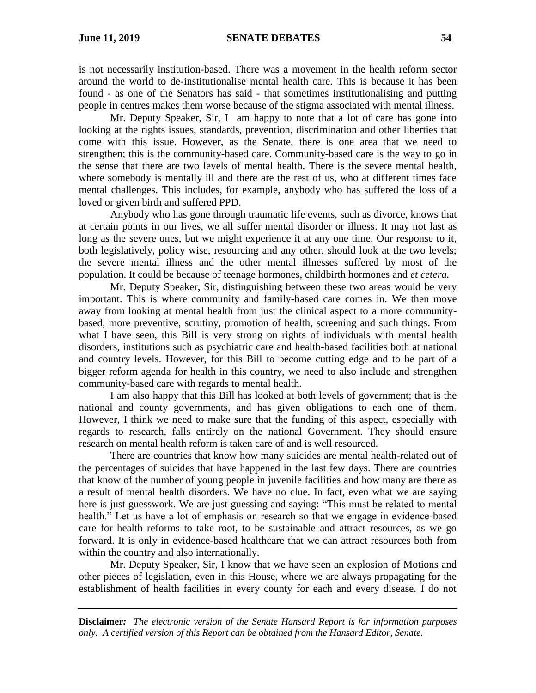is not necessarily institution-based. There was a movement in the health reform sector around the world to de-institutionalise mental health care. This is because it has been found - as one of the Senators has said - that sometimes institutionalising and putting people in centres makes them worse because of the stigma associated with mental illness.

Mr. Deputy Speaker, Sir, I am happy to note that a lot of care has gone into looking at the rights issues, standards, prevention, discrimination and other liberties that come with this issue. However, as the Senate, there is one area that we need to strengthen; this is the community-based care. Community-based care is the way to go in the sense that there are two levels of mental health. There is the severe mental health, where somebody is mentally ill and there are the rest of us, who at different times face mental challenges. This includes, for example, anybody who has suffered the loss of a loved or given birth and suffered PPD.

Anybody who has gone through traumatic life events, such as divorce, knows that at certain points in our lives, we all suffer mental disorder or illness. It may not last as long as the severe ones, but we might experience it at any one time. Our response to it, both legislatively, policy wise, resourcing and any other, should look at the two levels; the severe mental illness and the other mental illnesses suffered by most of the population. It could be because of teenage hormones, childbirth hormones and *et cetera.*

Mr. Deputy Speaker, Sir, distinguishing between these two areas would be very important. This is where community and family-based care comes in. We then move away from looking at mental health from just the clinical aspect to a more communitybased, more preventive, scrutiny, promotion of health, screening and such things. From what I have seen, this Bill is very strong on rights of individuals with mental health disorders, institutions such as psychiatric care and health-based facilities both at national and country levels. However, for this Bill to become cutting edge and to be part of a bigger reform agenda for health in this country, we need to also include and strengthen community-based care with regards to mental health.

I am also happy that this Bill has looked at both levels of government; that is the national and county governments, and has given obligations to each one of them. However, I think we need to make sure that the funding of this aspect, especially with regards to research, falls entirely on the national Government. They should ensure research on mental health reform is taken care of and is well resourced.

There are countries that know how many suicides are mental health-related out of the percentages of suicides that have happened in the last few days. There are countries that know of the number of young people in juvenile facilities and how many are there as a result of mental health disorders. We have no clue. In fact, even what we are saying here is just guesswork. We are just guessing and saying: "This must be related to mental health." Let us have a lot of emphasis on research so that we engage in evidence-based care for health reforms to take root, to be sustainable and attract resources, as we go forward. It is only in evidence-based healthcare that we can attract resources both from within the country and also internationally.

Mr. Deputy Speaker, Sir, I know that we have seen an explosion of Motions and other pieces of legislation, even in this House, where we are always propagating for the establishment of health facilities in every county for each and every disease. I do not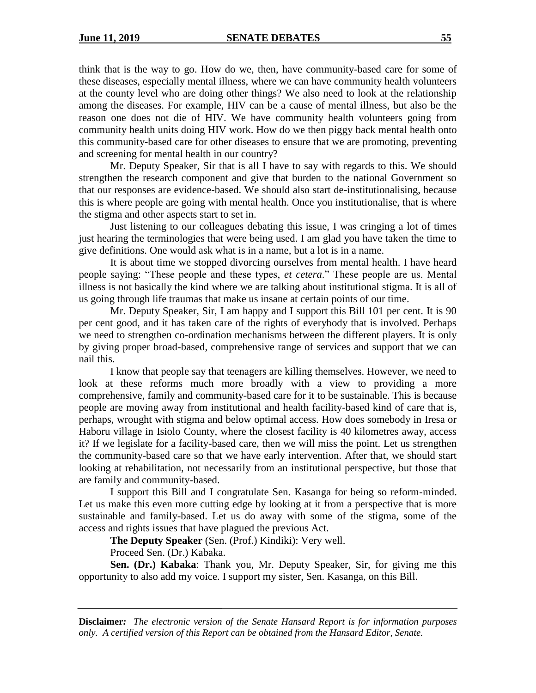think that is the way to go. How do we, then, have community-based care for some of these diseases, especially mental illness, where we can have community health volunteers at the county level who are doing other things? We also need to look at the relationship among the diseases. For example, HIV can be a cause of mental illness, but also be the reason one does not die of HIV. We have community health volunteers going from community health units doing HIV work. How do we then piggy back mental health onto this community-based care for other diseases to ensure that we are promoting, preventing and screening for mental health in our country?

Mr. Deputy Speaker, Sir that is all I have to say with regards to this. We should strengthen the research component and give that burden to the national Government so that our responses are evidence-based. We should also start de-institutionalising, because this is where people are going with mental health. Once you institutionalise, that is where the stigma and other aspects start to set in.

Just listening to our colleagues debating this issue, I was cringing a lot of times just hearing the terminologies that were being used. I am glad you have taken the time to give definitions. One would ask what is in a name, but a lot is in a name.

It is about time we stopped divorcing ourselves from mental health. I have heard people saying: "These people and these types, *et cetera*." These people are us. Mental illness is not basically the kind where we are talking about institutional stigma. It is all of us going through life traumas that make us insane at certain points of our time.

Mr. Deputy Speaker, Sir, I am happy and I support this Bill 101 per cent. It is 90 per cent good, and it has taken care of the rights of everybody that is involved. Perhaps we need to strengthen co-ordination mechanisms between the different players. It is only by giving proper broad-based, comprehensive range of services and support that we can nail this.

I know that people say that teenagers are killing themselves. However, we need to look at these reforms much more broadly with a view to providing a more comprehensive, family and community-based care for it to be sustainable. This is because people are moving away from institutional and health facility-based kind of care that is, perhaps, wrought with stigma and below optimal access. How does somebody in Iresa or Haboru village in Isiolo County, where the closest facility is 40 kilometres away, access it? If we legislate for a facility-based care, then we will miss the point. Let us strengthen the community-based care so that we have early intervention. After that, we should start looking at rehabilitation, not necessarily from an institutional perspective, but those that are family and community-based.

I support this Bill and I congratulate Sen. Kasanga for being so reform-minded. Let us make this even more cutting edge by looking at it from a perspective that is more sustainable and family-based. Let us do away with some of the stigma, some of the access and rights issues that have plagued the previous Act.

**The Deputy Speaker** (Sen. (Prof.) Kindiki): Very well.

Proceed Sen. (Dr.) Kabaka.

**Sen. (Dr.) Kabaka**: Thank you, Mr. Deputy Speaker, Sir, for giving me this opportunity to also add my voice. I support my sister, Sen. Kasanga, on this Bill.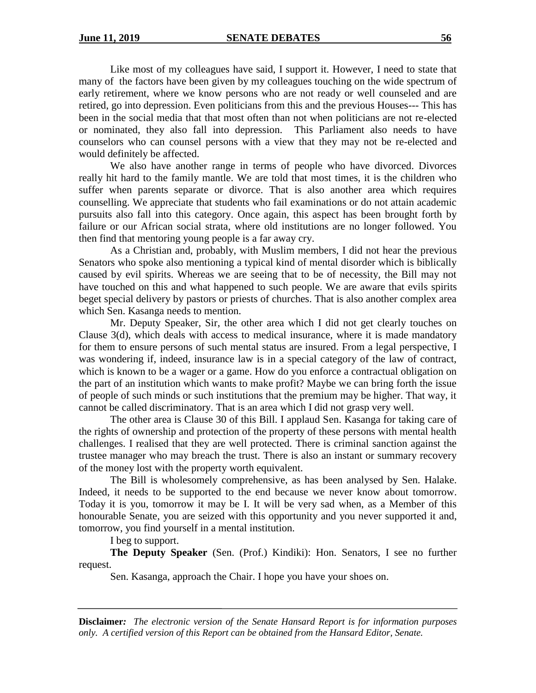Like most of my colleagues have said, I support it. However, I need to state that many of the factors have been given by my colleagues touching on the wide spectrum of early retirement, where we know persons who are not ready or well counseled and are retired, go into depression. Even politicians from this and the previous Houses--- This has been in the social media that that most often than not when politicians are not re-elected or nominated, they also fall into depression. This Parliament also needs to have counselors who can counsel persons with a view that they may not be re-elected and would definitely be affected.

We also have another range in terms of people who have divorced. Divorces really hit hard to the family mantle. We are told that most times, it is the children who suffer when parents separate or divorce. That is also another area which requires counselling. We appreciate that students who fail examinations or do not attain academic pursuits also fall into this category. Once again, this aspect has been brought forth by failure or our African social strata, where old institutions are no longer followed. You then find that mentoring young people is a far away cry.

As a Christian and, probably, with Muslim members, I did not hear the previous Senators who spoke also mentioning a typical kind of mental disorder which is biblically caused by evil spirits. Whereas we are seeing that to be of necessity, the Bill may not have touched on this and what happened to such people. We are aware that evils spirits beget special delivery by pastors or priests of churches. That is also another complex area which Sen. Kasanga needs to mention.

Mr. Deputy Speaker, Sir, the other area which I did not get clearly touches on Clause 3(d), which deals with access to medical insurance, where it is made mandatory for them to ensure persons of such mental status are insured. From a legal perspective, I was wondering if, indeed, insurance law is in a special category of the law of contract, which is known to be a wager or a game. How do you enforce a contractual obligation on the part of an institution which wants to make profit? Maybe we can bring forth the issue of people of such minds or such institutions that the premium may be higher. That way, it cannot be called discriminatory. That is an area which I did not grasp very well.

The other area is Clause 30 of this Bill. I applaud Sen. Kasanga for taking care of the rights of ownership and protection of the property of these persons with mental health challenges. I realised that they are well protected. There is criminal sanction against the trustee manager who may breach the trust. There is also an instant or summary recovery of the money lost with the property worth equivalent.

The Bill is wholesomely comprehensive, as has been analysed by Sen. Halake. Indeed, it needs to be supported to the end because we never know about tomorrow. Today it is you, tomorrow it may be I. It will be very sad when, as a Member of this honourable Senate, you are seized with this opportunity and you never supported it and, tomorrow, you find yourself in a mental institution.

I beg to support.

**The Deputy Speaker** (Sen. (Prof.) Kindiki): Hon. Senators, I see no further request.

Sen. Kasanga, approach the Chair. I hope you have your shoes on.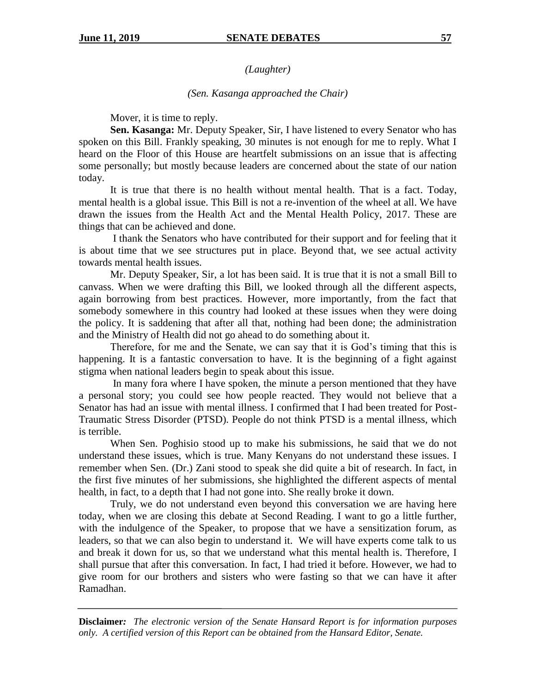# *(Laughter)*

### *(Sen. Kasanga approached the Chair)*

Mover, it is time to reply.

**Sen. Kasanga:** Mr. Deputy Speaker, Sir, I have listened to every Senator who has spoken on this Bill. Frankly speaking, 30 minutes is not enough for me to reply. What I heard on the Floor of this House are heartfelt submissions on an issue that is affecting some personally; but mostly because leaders are concerned about the state of our nation today.

It is true that there is no health without mental health. That is a fact. Today, mental health is a global issue. This Bill is not a re-invention of the wheel at all. We have drawn the issues from the Health Act and the Mental Health Policy, 2017. These are things that can be achieved and done.

I thank the Senators who have contributed for their support and for feeling that it is about time that we see structures put in place. Beyond that, we see actual activity towards mental health issues.

Mr. Deputy Speaker, Sir, a lot has been said. It is true that it is not a small Bill to canvass. When we were drafting this Bill, we looked through all the different aspects, again borrowing from best practices. However, more importantly, from the fact that somebody somewhere in this country had looked at these issues when they were doing the policy. It is saddening that after all that, nothing had been done; the administration and the Ministry of Health did not go ahead to do something about it.

Therefore, for me and the Senate, we can say that it is God's timing that this is happening. It is a fantastic conversation to have. It is the beginning of a fight against stigma when national leaders begin to speak about this issue.

In many fora where I have spoken, the minute a person mentioned that they have a personal story; you could see how people reacted. They would not believe that a Senator has had an issue with mental illness. I confirmed that I had been treated for Post-Traumatic Stress Disorder (PTSD). People do not think PTSD is a mental illness, which is terrible.

When Sen. Poghisio stood up to make his submissions, he said that we do not understand these issues, which is true. Many Kenyans do not understand these issues. I remember when Sen. (Dr.) Zani stood to speak she did quite a bit of research. In fact, in the first five minutes of her submissions, she highlighted the different aspects of mental health, in fact, to a depth that I had not gone into. She really broke it down.

Truly, we do not understand even beyond this conversation we are having here today, when we are closing this debate at Second Reading. I want to go a little further, with the indulgence of the Speaker, to propose that we have a sensitization forum, as leaders, so that we can also begin to understand it. We will have experts come talk to us and break it down for us, so that we understand what this mental health is. Therefore, I shall pursue that after this conversation. In fact, I had tried it before. However, we had to give room for our brothers and sisters who were fasting so that we can have it after Ramadhan.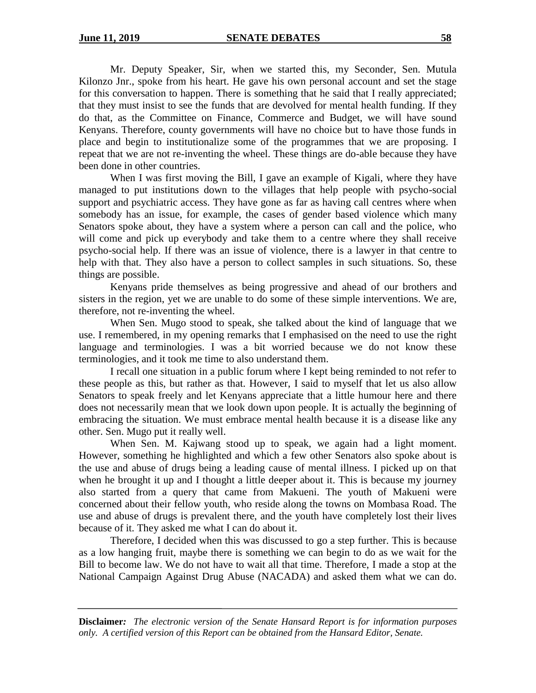Mr. Deputy Speaker, Sir, when we started this, my Seconder, Sen. Mutula Kilonzo Jnr., spoke from his heart. He gave his own personal account and set the stage for this conversation to happen. There is something that he said that I really appreciated; that they must insist to see the funds that are devolved for mental health funding. If they do that, as the Committee on Finance, Commerce and Budget, we will have sound Kenyans. Therefore, county governments will have no choice but to have those funds in place and begin to institutionalize some of the programmes that we are proposing. I repeat that we are not re-inventing the wheel. These things are do-able because they have been done in other countries.

When I was first moving the Bill, I gave an example of Kigali, where they have managed to put institutions down to the villages that help people with psycho-social support and psychiatric access. They have gone as far as having call centres where when somebody has an issue, for example, the cases of gender based violence which many Senators spoke about, they have a system where a person can call and the police, who will come and pick up everybody and take them to a centre where they shall receive psycho-social help. If there was an issue of violence, there is a lawyer in that centre to help with that. They also have a person to collect samples in such situations. So, these things are possible.

Kenyans pride themselves as being progressive and ahead of our brothers and sisters in the region, yet we are unable to do some of these simple interventions. We are, therefore, not re-inventing the wheel.

When Sen. Mugo stood to speak, she talked about the kind of language that we use. I remembered, in my opening remarks that I emphasised on the need to use the right language and terminologies. I was a bit worried because we do not know these terminologies, and it took me time to also understand them.

I recall one situation in a public forum where I kept being reminded to not refer to these people as this, but rather as that. However, I said to myself that let us also allow Senators to speak freely and let Kenyans appreciate that a little humour here and there does not necessarily mean that we look down upon people. It is actually the beginning of embracing the situation. We must embrace mental health because it is a disease like any other. Sen. Mugo put it really well.

When Sen. M. Kajwang stood up to speak, we again had a light moment. However, something he highlighted and which a few other Senators also spoke about is the use and abuse of drugs being a leading cause of mental illness. I picked up on that when he brought it up and I thought a little deeper about it. This is because my journey also started from a query that came from Makueni. The youth of Makueni were concerned about their fellow youth, who reside along the towns on Mombasa Road. The use and abuse of drugs is prevalent there, and the youth have completely lost their lives because of it. They asked me what I can do about it.

Therefore, I decided when this was discussed to go a step further. This is because as a low hanging fruit, maybe there is something we can begin to do as we wait for the Bill to become law. We do not have to wait all that time. Therefore, I made a stop at the National Campaign Against Drug Abuse (NACADA) and asked them what we can do.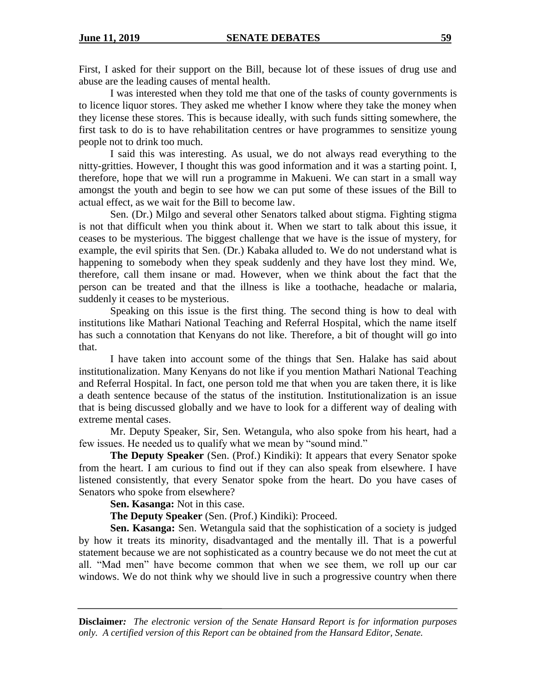First, I asked for their support on the Bill, because lot of these issues of drug use and abuse are the leading causes of mental health.

I was interested when they told me that one of the tasks of county governments is to licence liquor stores. They asked me whether I know where they take the money when they license these stores. This is because ideally, with such funds sitting somewhere, the first task to do is to have rehabilitation centres or have programmes to sensitize young people not to drink too much.

I said this was interesting. As usual, we do not always read everything to the nitty-gritties. However, I thought this was good information and it was a starting point. I, therefore, hope that we will run a programme in Makueni. We can start in a small way amongst the youth and begin to see how we can put some of these issues of the Bill to actual effect, as we wait for the Bill to become law.

Sen. (Dr.) Milgo and several other Senators talked about stigma. Fighting stigma is not that difficult when you think about it. When we start to talk about this issue, it ceases to be mysterious. The biggest challenge that we have is the issue of mystery, for example, the evil spirits that Sen. (Dr.) Kabaka alluded to. We do not understand what is happening to somebody when they speak suddenly and they have lost they mind. We, therefore, call them insane or mad. However, when we think about the fact that the person can be treated and that the illness is like a toothache, headache or malaria, suddenly it ceases to be mysterious.

Speaking on this issue is the first thing. The second thing is how to deal with institutions like Mathari National Teaching and Referral Hospital, which the name itself has such a connotation that Kenyans do not like. Therefore, a bit of thought will go into that.

I have taken into account some of the things that Sen. Halake has said about institutionalization. Many Kenyans do not like if you mention Mathari National Teaching and Referral Hospital. In fact, one person told me that when you are taken there, it is like a death sentence because of the status of the institution. Institutionalization is an issue that is being discussed globally and we have to look for a different way of dealing with extreme mental cases.

Mr. Deputy Speaker, Sir, Sen. Wetangula, who also spoke from his heart, had a few issues. He needed us to qualify what we mean by "sound mind."

**The Deputy Speaker** (Sen. (Prof.) Kindiki): It appears that every Senator spoke from the heart. I am curious to find out if they can also speak from elsewhere. I have listened consistently, that every Senator spoke from the heart. Do you have cases of Senators who spoke from elsewhere?

**Sen. Kasanga:** Not in this case.

**The Deputy Speaker** (Sen. (Prof.) Kindiki): Proceed.

**Sen. Kasanga:** Sen. Wetangula said that the sophistication of a society is judged by how it treats its minority, disadvantaged and the mentally ill. That is a powerful statement because we are not sophisticated as a country because we do not meet the cut at all. "Mad men" have become common that when we see them, we roll up our car windows. We do not think why we should live in such a progressive country when there